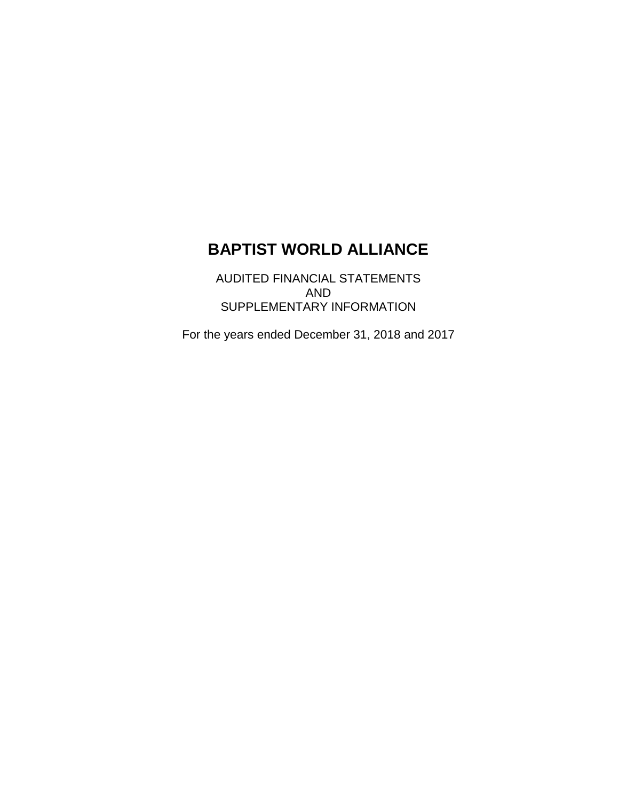AUDITED FINANCIAL STATEMENTS AND SUPPLEMENTARY INFORMATION

For the years ended December 31, 2018 and 2017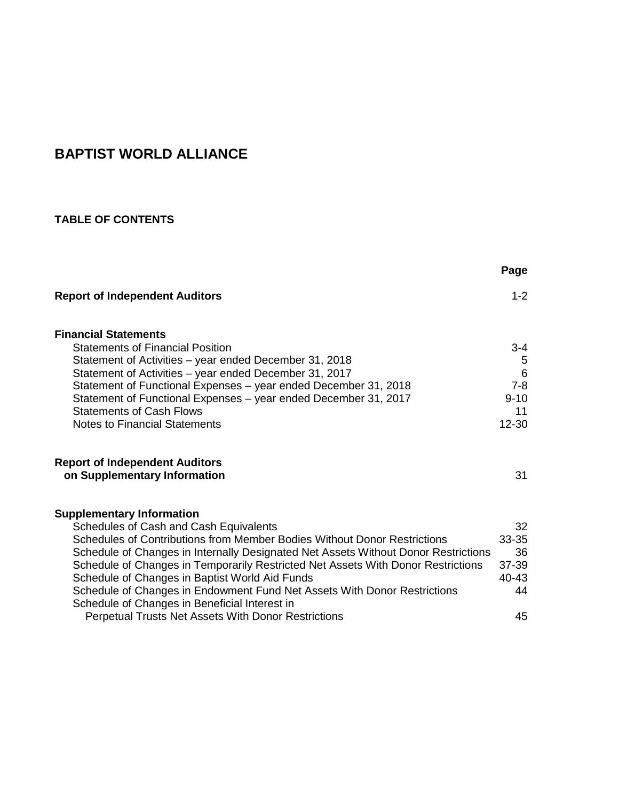# **TABLE OF CONTENTS**

|                                                                                                                            | Page            |
|----------------------------------------------------------------------------------------------------------------------------|-----------------|
| <b>Report of Independent Auditors</b>                                                                                      | $1 - 2$         |
| <b>Financial Statements</b>                                                                                                |                 |
| <b>Statements of Financial Position</b>                                                                                    | $3 - 4$         |
| Statement of Activities – year ended December 31, 2018                                                                     | 5               |
| Statement of Activities - year ended December 31, 2017                                                                     | 6               |
| Statement of Functional Expenses - year ended December 31, 2018                                                            | $7 - 8$         |
| Statement of Functional Expenses - year ended December 31, 2017                                                            | $9 - 10$        |
| <b>Statements of Cash Flows</b><br><b>Notes to Financial Statements</b>                                                    | 11<br>$12 - 30$ |
|                                                                                                                            |                 |
| <b>Report of Independent Auditors</b><br>on Supplementary Information                                                      | 31              |
| <b>Supplementary Information</b>                                                                                           |                 |
| Schedules of Cash and Cash Equivalents                                                                                     | 32              |
| Schedules of Contributions from Member Bodies Without Donor Restrictions                                                   | 33-35           |
| Schedule of Changes in Internally Designated Net Assets Without Donor Restrictions                                         | 36              |
| Schedule of Changes in Temporarily Restricted Net Assets With Donor Restrictions                                           | 37-39           |
| Schedule of Changes in Baptist World Aid Funds<br>Schedule of Changes in Endowment Fund Net Assets With Donor Restrictions | 40-43<br>44     |
| Schedule of Changes in Beneficial Interest in                                                                              |                 |
| Perpetual Trusts Net Assets With Donor Restrictions                                                                        | 45              |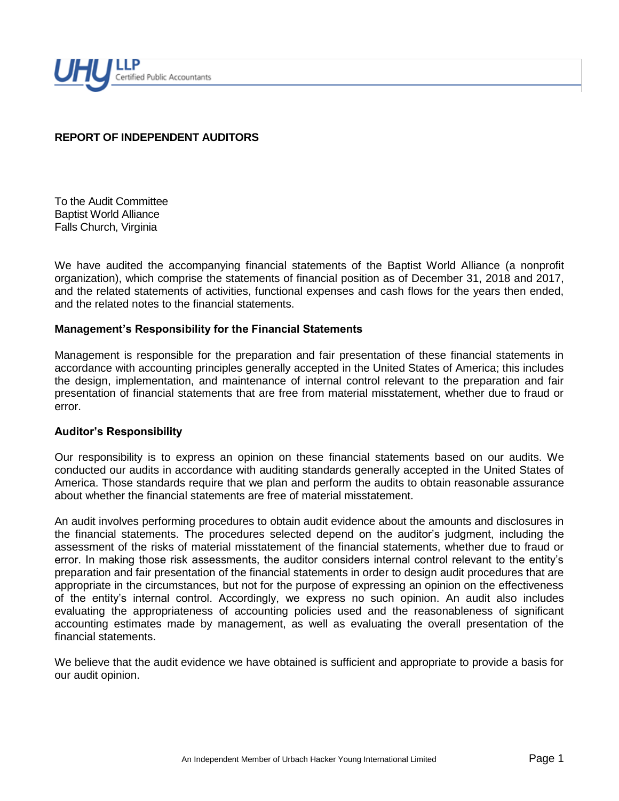

# **REPORT OF INDEPENDENT AUDITORS**

To the Audit Committee Baptist World Alliance Falls Church, Virginia

We have audited the accompanying financial statements of the Baptist World Alliance (a nonprofit organization), which comprise the statements of financial position as of December 31, 2018 and 2017, and the related statements of activities, functional expenses and cash flows for the years then ended, and the related notes to the financial statements.

## **Management's Responsibility for the Financial Statements**

Management is responsible for the preparation and fair presentation of these financial statements in accordance with accounting principles generally accepted in the United States of America; this includes the design, implementation, and maintenance of internal control relevant to the preparation and fair presentation of financial statements that are free from material misstatement, whether due to fraud or error.

#### **Auditor's Responsibility**

Our responsibility is to express an opinion on these financial statements based on our audits. We conducted our audits in accordance with auditing standards generally accepted in the United States of America. Those standards require that we plan and perform the audits to obtain reasonable assurance about whether the financial statements are free of material misstatement.

An audit involves performing procedures to obtain audit evidence about the amounts and disclosures in the financial statements. The procedures selected depend on the auditor's judgment, including the assessment of the risks of material misstatement of the financial statements, whether due to fraud or error. In making those risk assessments, the auditor considers internal control relevant to the entity's preparation and fair presentation of the financial statements in order to design audit procedures that are appropriate in the circumstances, but not for the purpose of expressing an opinion on the effectiveness of the entity's internal control. Accordingly, we express no such opinion. An audit also includes evaluating the appropriateness of accounting policies used and the reasonableness of significant accounting estimates made by management, as well as evaluating the overall presentation of the financial statements.

We believe that the audit evidence we have obtained is sufficient and appropriate to provide a basis for our audit opinion.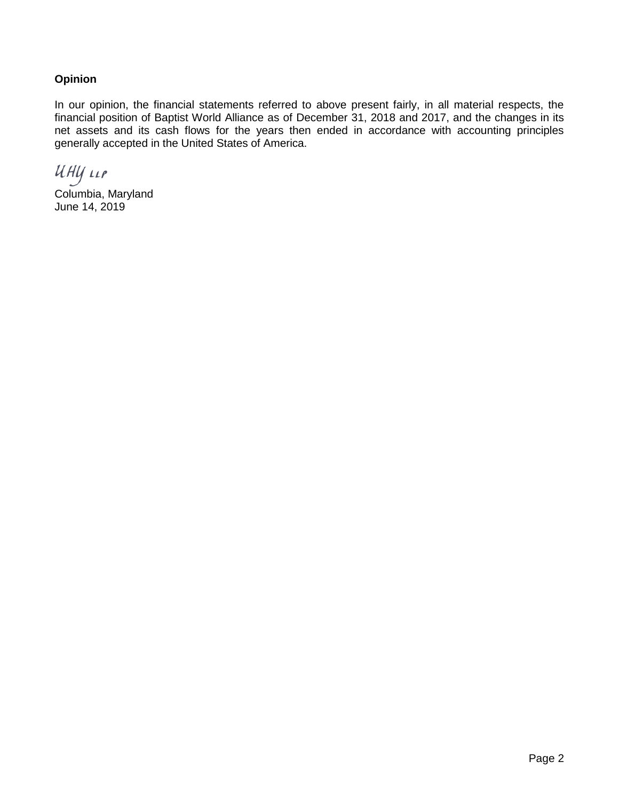# **Opinion**

In our opinion, the financial statements referred to above present fairly, in all material respects, the financial position of Baptist World Alliance as of December 31, 2018 and 2017, and the changes in its net assets and its cash flows for the years then ended in accordance with accounting principles generally accepted in the United States of America.

ИНУ 11Р

Columbia, Maryland June 14, 2019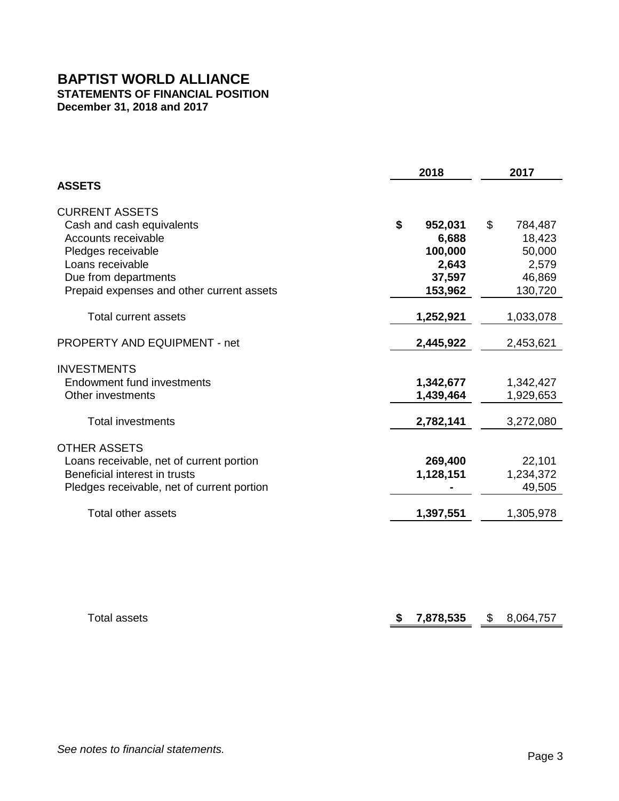# **STATEMENTS OF FINANCIAL POSITION**

**December 31, 2018 and 2017**

|                                            | 2018          | 2017          |
|--------------------------------------------|---------------|---------------|
| <b>ASSETS</b>                              |               |               |
| <b>CURRENT ASSETS</b>                      |               |               |
| Cash and cash equivalents                  | \$<br>952,031 | \$<br>784,487 |
| Accounts receivable                        | 6,688         | 18,423        |
| Pledges receivable                         | 100,000       | 50,000        |
| Loans receivable                           | 2,643         | 2,579         |
| Due from departments                       | 37,597        | 46,869        |
| Prepaid expenses and other current assets  | 153,962       | 130,720       |
|                                            |               |               |
| Total current assets                       | 1,252,921     | 1,033,078     |
| <b>PROPERTY AND EQUIPMENT - net</b>        | 2,445,922     | 2,453,621     |
|                                            |               |               |
| <b>INVESTMENTS</b>                         |               |               |
| Endowment fund investments                 | 1,342,677     | 1,342,427     |
| Other investments                          | 1,439,464     | 1,929,653     |
| <b>Total investments</b>                   | 2,782,141     | 3,272,080     |
|                                            |               |               |
| <b>OTHER ASSETS</b>                        |               |               |
| Loans receivable, net of current portion   | 269,400       | 22,101        |
| Beneficial interest in trusts              | 1,128,151     | 1,234,372     |
| Pledges receivable, net of current portion |               | 49,505        |
|                                            |               |               |
| Total other assets                         | 1,397,551     | 1,305,978     |
|                                            |               |               |

Total assets **\$ 7,878,535** \$ 8,064,757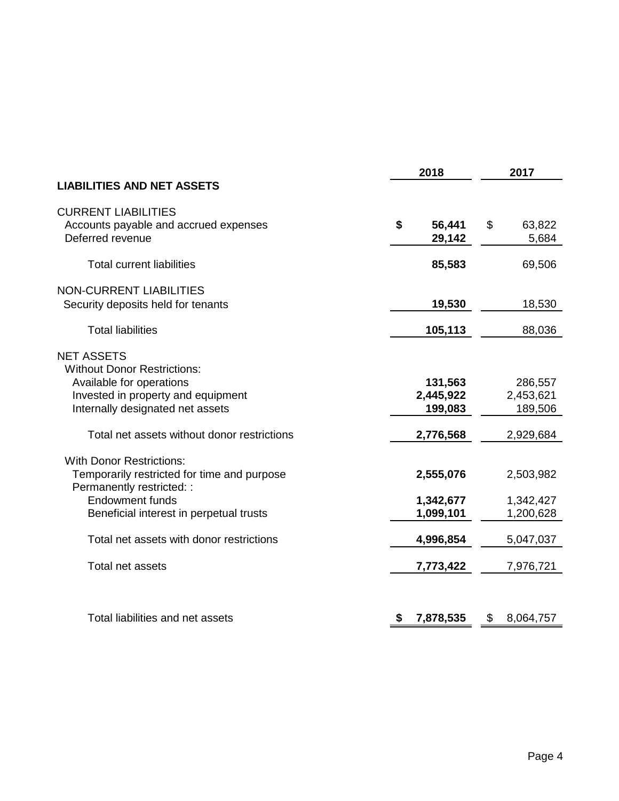|                                                                          | 2018            | 2017            |
|--------------------------------------------------------------------------|-----------------|-----------------|
| <b>LIABILITIES AND NET ASSETS</b>                                        |                 |                 |
| <b>CURRENT LIABILITIES</b>                                               |                 |                 |
| Accounts payable and accrued expenses                                    | \$<br>56,441    | \$<br>63,822    |
| Deferred revenue                                                         | 29,142          | 5,684           |
| <b>Total current liabilities</b>                                         | 85,583          | 69,506          |
| <b>NON-CURRENT LIABILITIES</b>                                           |                 |                 |
| Security deposits held for tenants                                       | 19,530          | 18,530          |
| <b>Total liabilities</b>                                                 | 105,113         | 88,036          |
| <b>NET ASSETS</b>                                                        |                 |                 |
| <b>Without Donor Restrictions:</b>                                       |                 |                 |
| Available for operations                                                 | 131,563         | 286,557         |
| Invested in property and equipment                                       | 2,445,922       | 2,453,621       |
| Internally designated net assets                                         | 199,083         | 189,506         |
| Total net assets without donor restrictions                              | 2,776,568       | 2,929,684       |
| <b>With Donor Restrictions:</b>                                          |                 |                 |
| Temporarily restricted for time and purpose<br>Permanently restricted: : | 2,555,076       | 2,503,982       |
| <b>Endowment funds</b>                                                   | 1,342,677       | 1,342,427       |
| Beneficial interest in perpetual trusts                                  | 1,099,101       | 1,200,628       |
| Total net assets with donor restrictions                                 | 4,996,854       | 5,047,037       |
| Total net assets                                                         | 7,773,422       | 7,976,721       |
|                                                                          |                 |                 |
| Total liabilities and net assets                                         | 7,878,535<br>\$ | 8,064,757<br>\$ |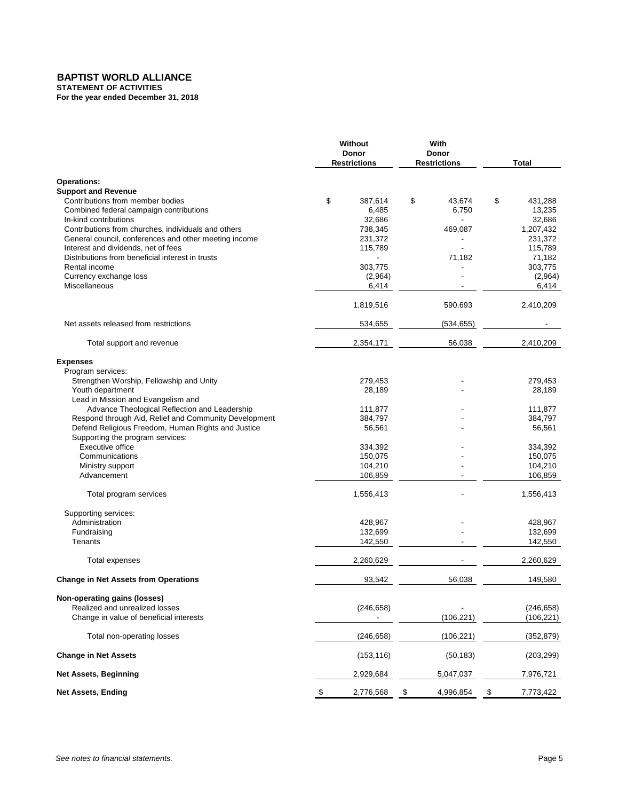**STATEMENT OF ACTIVITIES For the year ended December 31, 2018** 

|                                                                                        | Without<br>Donor<br><b>Restrictions</b> | With<br><b>Donor</b><br><b>Restrictions</b> | <b>Total</b>    |
|----------------------------------------------------------------------------------------|-----------------------------------------|---------------------------------------------|-----------------|
| <b>Operations:</b>                                                                     |                                         |                                             |                 |
| <b>Support and Revenue</b>                                                             |                                         |                                             |                 |
| Contributions from member bodies                                                       | \$<br>387,614                           | \$<br>43.674                                | \$<br>431,288   |
| Combined federal campaign contributions                                                | 6,485                                   | 6,750                                       | 13,235          |
| In-kind contributions                                                                  | 32,686                                  |                                             | 32,686          |
| Contributions from churches, individuals and others                                    | 738,345                                 | 469,087                                     | 1,207,432       |
| General council, conferences and other meeting income                                  | 231,372                                 |                                             | 231,372         |
| Interest and dividends, net of fees                                                    | 115,789                                 |                                             | 115,789         |
| Distributions from beneficial interest in trusts                                       |                                         | 71,182                                      | 71,182          |
| Rental income                                                                          | 303.775                                 |                                             | 303,775         |
| Currency exchange loss                                                                 | (2,964)                                 |                                             | (2,964)         |
| Miscellaneous                                                                          | 6,414                                   |                                             | 6,414           |
|                                                                                        | 1,819,516                               | 590,693                                     | 2,410,209       |
| Net assets released from restrictions                                                  | 534,655                                 | (534, 655)                                  |                 |
| Total support and revenue                                                              | 2,354,171                               | 56,038                                      | 2,410,209       |
| <b>Expenses</b>                                                                        |                                         |                                             |                 |
| Program services:                                                                      |                                         |                                             |                 |
| Strengthen Worship, Fellowship and Unity                                               | 279,453                                 |                                             | 279,453         |
| Youth department                                                                       | 28,189                                  |                                             | 28,189          |
| Lead in Mission and Evangelism and                                                     |                                         |                                             |                 |
| Advance Theological Reflection and Leadership                                          | 111,877                                 |                                             | 111,877         |
| Respond through Aid, Relief and Community Development                                  | 384,797                                 |                                             | 384,797         |
| Defend Religious Freedom, Human Rights and Justice<br>Supporting the program services: | 56,561                                  |                                             | 56,561          |
| <b>Executive office</b>                                                                | 334,392                                 |                                             | 334,392         |
| Communications                                                                         | 150,075                                 |                                             | 150,075         |
| Ministry support                                                                       | 104,210                                 |                                             | 104,210         |
| Advancement                                                                            | 106,859                                 |                                             | 106,859         |
| Total program services                                                                 | 1,556,413                               |                                             | 1,556,413       |
| Supporting services:                                                                   |                                         |                                             |                 |
| Administration                                                                         | 428,967                                 |                                             | 428,967         |
| Fundraising                                                                            | 132,699                                 |                                             | 132,699         |
| Tenants                                                                                | 142,550                                 |                                             | 142,550         |
| Total expenses                                                                         | 2,260,629                               |                                             | 2,260,629       |
| <b>Change in Net Assets from Operations</b>                                            | 93,542                                  | 56,038                                      | 149,580         |
| Non-operating gains (losses)                                                           |                                         |                                             |                 |
| Realized and unrealized losses                                                         | (246, 658)                              |                                             | (246, 658)      |
| Change in value of beneficial interests                                                |                                         | (106, 221)                                  | (106, 221)      |
| Total non-operating losses                                                             | (246, 658)                              | (106, 221)                                  | (352, 879)      |
| <b>Change in Net Assets</b>                                                            | (153, 116)                              | (50, 183)                                   | (203, 299)      |
| <b>Net Assets, Beginning</b>                                                           | 2,929,684                               | 5,047,037                                   | 7,976,721       |
| <b>Net Assets, Ending</b>                                                              | \$<br>2,776,568                         | \$<br>4,996,854                             | \$<br>7,773,422 |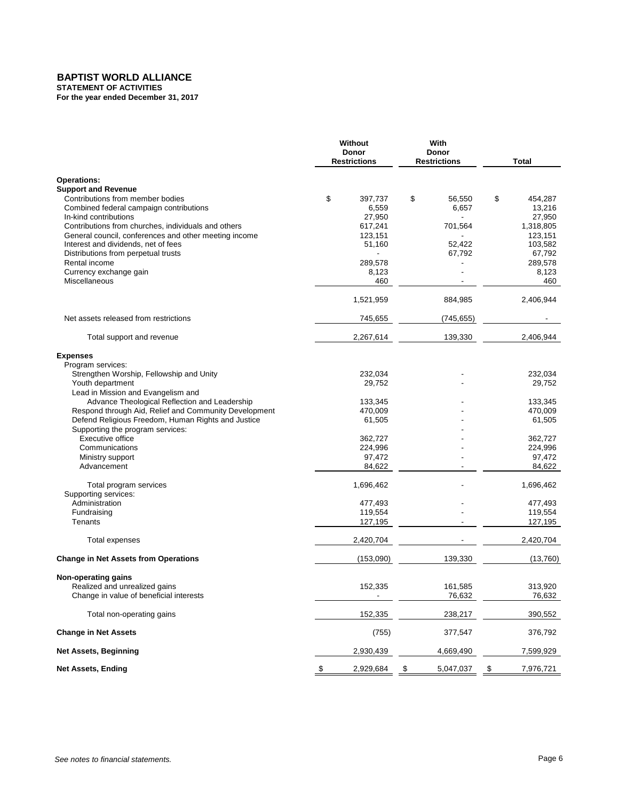**STATEMENT OF ACTIVITIES For the year ended December 31, 2017**

|                                                       | Without<br><b>Donor</b><br><b>Restrictions</b> | With<br><b>Donor</b><br><b>Restrictions</b> | Total           |
|-------------------------------------------------------|------------------------------------------------|---------------------------------------------|-----------------|
| <b>Operations:</b>                                    |                                                |                                             |                 |
| <b>Support and Revenue</b>                            |                                                |                                             |                 |
| Contributions from member bodies                      | \$<br>397,737                                  | \$<br>56,550                                | \$<br>454,287   |
| Combined federal campaign contributions               | 6,559                                          | 6,657                                       | 13,216          |
| In-kind contributions                                 | 27,950                                         |                                             | 27,950          |
| Contributions from churches, individuals and others   | 617,241                                        | 701,564                                     | 1,318,805       |
| General council, conferences and other meeting income | 123,151                                        |                                             | 123,151         |
| Interest and dividends, net of fees                   | 51,160                                         | 52,422                                      | 103,582         |
| Distributions from perpetual trusts<br>Rental income  |                                                | 67,792                                      | 67,792          |
| Currency exchange gain                                | 289,578                                        |                                             | 289,578         |
|                                                       | 8,123                                          |                                             | 8,123           |
| Miscellaneous                                         | 460                                            |                                             | 460             |
|                                                       | 1,521,959                                      | 884,985                                     | 2,406,944       |
| Net assets released from restrictions                 | 745,655                                        | (745, 655)                                  |                 |
| Total support and revenue                             | 2,267,614                                      | 139,330                                     | 2,406,944       |
| <b>Expenses</b>                                       |                                                |                                             |                 |
| Program services:                                     |                                                |                                             |                 |
| Strengthen Worship, Fellowship and Unity              | 232,034                                        |                                             | 232,034         |
| Youth department                                      | 29,752                                         |                                             | 29,752          |
| Lead in Mission and Evangelism and                    |                                                |                                             |                 |
| Advance Theological Reflection and Leadership         | 133,345                                        |                                             | 133,345         |
| Respond through Aid, Relief and Community Development | 470.009                                        |                                             | 470,009         |
| Defend Religious Freedom, Human Rights and Justice    | 61,505                                         |                                             | 61,505          |
| Supporting the program services:                      |                                                |                                             |                 |
| Executive office                                      | 362,727                                        |                                             | 362,727         |
| Communications                                        | 224,996                                        |                                             | 224,996         |
| Ministry support                                      | 97,472                                         |                                             | 97,472          |
| Advancement                                           | 84,622                                         |                                             | 84,622          |
| Total program services                                | 1,696,462                                      |                                             | 1,696,462       |
| Supporting services:                                  |                                                |                                             |                 |
| Administration                                        | 477,493                                        |                                             | 477,493         |
| Fundraising                                           | 119,554                                        |                                             | 119,554         |
| Tenants                                               | 127,195                                        |                                             | 127,195         |
| Total expenses                                        | 2,420,704                                      |                                             | 2,420,704       |
| <b>Change in Net Assets from Operations</b>           | (153,090)                                      | 139,330                                     | (13,760)        |
| Non-operating gains                                   |                                                |                                             |                 |
| Realized and unrealized gains                         | 152,335                                        | 161,585                                     | 313,920         |
| Change in value of beneficial interests               |                                                | 76,632                                      | 76,632          |
| Total non-operating gains                             | 152,335                                        | 238,217                                     | 390,552         |
| <b>Change in Net Assets</b>                           | (755)                                          | 377,547                                     | 376,792         |
| Net Assets, Beginning                                 | 2,930,439                                      | 4,669,490                                   | 7,599,929       |
| <b>Net Assets, Ending</b>                             | $\sqrt[6]{\frac{1}{2}}$<br>2,929,684           | \$<br>5,047,037                             | \$<br>7,976,721 |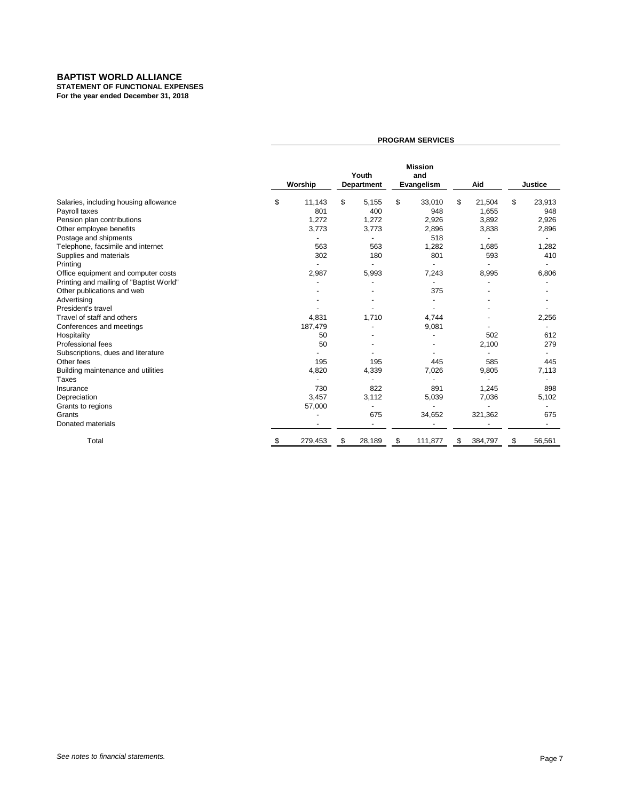**STATEMENT OF FUNCTIONAL EXPENSES For the year ended December 31, 2018**

|                                         |                          | <b>PROGRAM SERVICES</b> |                          |    |                                     |    |         |    |                          |
|-----------------------------------------|--------------------------|-------------------------|--------------------------|----|-------------------------------------|----|---------|----|--------------------------|
|                                         | Worship                  | Youth<br>Department     |                          |    | <b>Mission</b><br>and<br>Evangelism |    | Aid     |    | <b>Justice</b>           |
| Salaries, including housing allowance   | \$<br>11,143             | \$                      | 5,155                    | \$ | 33,010                              | \$ | 21,504  | \$ | 23,913                   |
| Payroll taxes                           | 801                      |                         | 400                      |    | 948                                 |    | 1,655   |    | 948                      |
| Pension plan contributions              | 1,272                    |                         | 1,272                    |    | 2,926                               |    | 3,892   |    | 2,926                    |
| Other employee benefits                 | 3,773                    |                         | 3,773                    |    | 2,896                               |    | 3,838   |    | 2,896                    |
| Postage and shipments                   | $\overline{\phantom{a}}$ |                         | $\overline{\phantom{a}}$ |    | 518                                 |    |         |    | $\overline{\phantom{a}}$ |
| Telephone, facsimile and internet       | 563                      |                         | 563                      |    | 1,282                               |    | 1,685   |    | 1,282                    |
| Supplies and materials                  | 302                      |                         | 180                      |    | 801                                 |    | 593     |    | 410                      |
| Printing                                |                          |                         |                          |    |                                     |    |         |    |                          |
| Office equipment and computer costs     | 2,987                    |                         | 5,993                    |    | 7,243                               |    | 8,995   |    | 6,806                    |
| Printing and mailing of "Baptist World" |                          |                         |                          |    |                                     |    |         |    |                          |
| Other publications and web              |                          |                         |                          |    | 375                                 |    |         |    |                          |
| Advertising                             |                          |                         |                          |    |                                     |    |         |    |                          |
| President's travel                      |                          |                         |                          |    |                                     |    |         |    |                          |
| Travel of staff and others              | 4,831                    |                         | 1,710                    |    | 4,744                               |    |         |    | 2,256                    |
| Conferences and meetings                | 187,479                  |                         |                          |    | 9,081                               |    |         |    |                          |
| Hospitality                             | 50                       |                         |                          |    |                                     |    | 502     |    | 612                      |
| Professional fees                       | 50                       |                         |                          |    |                                     |    | 2,100   |    | 279                      |
| Subscriptions, dues and literature      |                          |                         |                          |    |                                     |    |         |    | $\blacksquare$           |
| Other fees                              | 195                      |                         | 195                      |    | 445                                 |    | 585     |    | 445                      |
| Building maintenance and utilities      | 4,820                    |                         | 4,339                    |    | 7,026                               |    | 9,805   |    | 7,113                    |
| <b>Taxes</b>                            |                          |                         |                          |    |                                     |    |         |    |                          |
| Insurance                               | 730                      |                         | 822                      |    | 891                                 |    | 1,245   |    | 898                      |
| Depreciation                            | 3,457                    |                         | 3,112                    |    | 5,039                               |    | 7,036   |    | 5,102                    |
| Grants to regions                       | 57,000                   |                         |                          |    |                                     |    |         |    |                          |
| Grants                                  |                          |                         | 675                      |    | 34,652                              |    | 321,362 |    | 675                      |
| Donated materials                       |                          |                         |                          |    |                                     |    |         |    |                          |
| Total                                   | \$<br>279,453            | \$                      | 28,189                   | \$ | 111,877                             | S  | 384,797 | \$ | 56,561                   |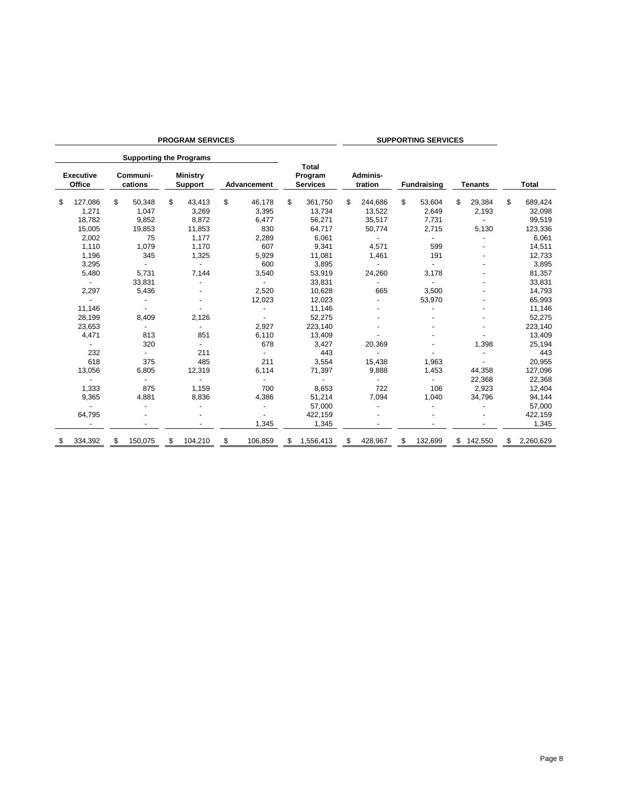| <b>PROGRAM SERVICES</b> |                            |    |                                |    |                                   |    |             |    |                                            |    |                     | <b>SUPPORTING SERVICES</b> |                    |                |    |           |
|-------------------------|----------------------------|----|--------------------------------|----|-----------------------------------|----|-------------|----|--------------------------------------------|----|---------------------|----------------------------|--------------------|----------------|----|-----------|
|                         |                            |    | <b>Supporting the Programs</b> |    |                                   |    |             |    |                                            |    |                     |                            |                    |                |    |           |
|                         | <b>Executive</b><br>Office |    | Communi-<br>cations            |    | <b>Ministry</b><br><b>Support</b> |    | Advancement |    | <b>Total</b><br>Program<br><b>Services</b> |    | Adminis-<br>tration |                            | <b>Fundraising</b> | <b>Tenants</b> |    | Total     |
| \$                      | 127,086                    | \$ | 50,348                         | \$ | 43,413                            | \$ | 46,178      | \$ | 361,750                                    | \$ | 244,686             | \$                         | 53,604             | \$<br>29,384   | \$ | 689,424   |
|                         | 1,271                      |    | 1.047                          |    | 3,269                             |    | 3,395       |    | 13,734                                     |    | 13,522              |                            | 2,649              | 2,193          |    | 32,098    |
|                         | 18,782                     |    | 9,852                          |    | 8,872                             |    | 6,477       |    | 56,271                                     |    | 35,517              |                            | 7,731              |                |    | 99,519    |
|                         | 15,005                     |    | 19,853                         |    | 11,853                            |    | 830         |    | 64,717                                     |    | 50,774              |                            | 2,715              | 5,130          |    | 123,336   |
|                         | 2,002                      |    | 75                             |    | 1,177                             |    | 2,289       |    | 6,061                                      |    |                     |                            |                    |                |    | 6,061     |
|                         | 1,110                      |    | 1,079                          |    | 1,170                             |    | 607         |    | 9,341                                      |    | 4,571               |                            | 599                |                |    | 14,511    |
|                         | 1,196                      |    | 345                            |    | 1,325                             |    | 5,929       |    | 11,081                                     |    | 1,461               |                            | 191                |                |    | 12,733    |
|                         | 3,295                      |    |                                |    |                                   |    | 600         |    | 3,895                                      |    |                     |                            |                    |                |    | 3,895     |
|                         | 5,480                      |    | 5,731                          |    | 7,144                             |    | 3,540       |    | 53,919                                     |    | 24,260              |                            | 3,178              |                |    | 81,357    |
|                         |                            |    | 33,831                         |    |                                   |    |             |    | 33,831                                     |    |                     |                            |                    |                |    | 33,831    |
|                         | 2,297                      |    | 5,436                          |    |                                   |    | 2,520       |    | 10,628                                     |    | 665                 |                            | 3,500              |                |    | 14,793    |
|                         |                            |    |                                |    |                                   |    | 12,023      |    | 12,023                                     |    |                     |                            | 53,970             |                |    | 65,993    |
|                         | 11,146                     |    |                                |    |                                   |    |             |    | 11,146                                     |    |                     |                            |                    |                |    | 11,146    |
|                         | 28,199                     |    | 8,409                          |    | 2,126                             |    |             |    | 52,275                                     |    |                     |                            |                    |                |    | 52,275    |
|                         | 23,653                     |    |                                |    |                                   |    | 2,927       |    | 223,140                                    |    |                     |                            |                    |                |    | 223,140   |
|                         | 4,471                      |    | 813                            |    | 851                               |    | 6,110       |    | 13,409                                     |    |                     |                            |                    |                |    | 13,409    |
|                         |                            |    | 320                            |    |                                   |    | 678         |    | 3,427                                      |    | 20,369              |                            |                    | 1,398          |    | 25,194    |
|                         | 232                        |    |                                |    | 211                               |    |             |    | 443                                        |    |                     |                            |                    |                |    | 443       |
|                         | 618                        |    | 375                            |    | 485                               |    | 211         |    | 3,554                                      |    | 15,438              |                            | 1,963              |                |    | 20,955    |
|                         | 13,056                     |    | 6,805                          |    | 12.319                            |    | 6.114       |    | 71,397                                     |    | 9,888               |                            | 1,453              | 44,358         |    | 127,096   |
|                         |                            |    |                                |    |                                   |    |             |    |                                            |    |                     |                            |                    | 22,368         |    | 22,368    |
|                         | 1,333                      |    | 875                            |    | 1,159                             |    | 700         |    | 8,653                                      |    | 722                 |                            | 106                | 2,923          |    | 12,404    |
|                         | 9,365                      |    | 4,881                          |    | 8,836                             |    | 4,386       |    | 51,214                                     |    | 7,094               |                            | 1,040              | 34,796         |    | 94,144    |
|                         |                            |    |                                |    |                                   |    |             |    | 57.000                                     |    |                     |                            |                    |                |    | 57,000    |
|                         | 64,795                     |    |                                |    |                                   |    |             |    | 422,159                                    |    |                     |                            |                    |                |    | 422,159   |
|                         |                            |    |                                |    |                                   |    | 1,345       |    | 1,345                                      |    |                     |                            |                    |                |    | 1,345     |
| \$                      | 334,392                    | S  | 150,075                        | \$ | 104,210                           | S  | 106,859     | S  | 1,556,413                                  | S  | 428,967             | S                          | 132,699            | \$<br>142,550  | S  | 2,260,629 |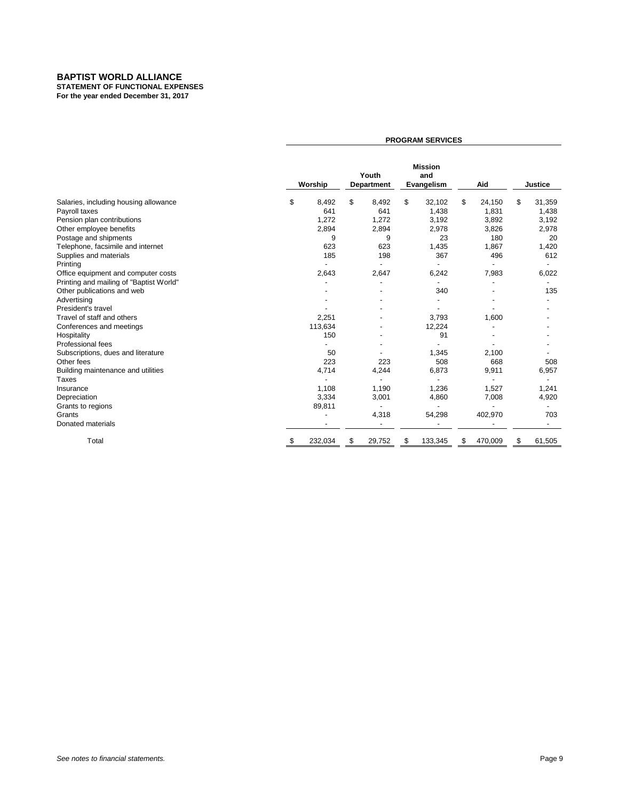**STATEMENT OF FUNCTIONAL EXPENSES For the year ended December 31, 2017**

**Mission Youth** and<br>**partment Evangelism Worship Department Evangelism Aid Justice** Salaries, including housing allowance  $\begin{array}{cccccccc}\n\text{S} & 8,492 & \text{I} & 8,492 & \text{I} & 32,102 & \text{I} & 24,150 & \text{I} & 31,359 \\
\text{Payroll taxes} & & & & & & 641 & 641 & 1,438 & 1,831 & 1,438\n\end{array}$ Payroll taxes 641 1,438 1,831 1,438 1,438 1,438 1,438 1,438 1,438 1,438 1,438 1,438 1,438 1,438 1,438 1,438 1,438 1,438 1,438 1,438 1,438 1,438 1,438 1,438 1,438 1,438 1,438 1,438 1,438 1,438 1,438 1,438 1,438 1,438 1,438 Pension plan contributions <br>
2,894 2,978 3,192 3,892 3,192<br>
2,978 3,826 2,978 3,826 2,978 Other employee benefits Postage and shipments and internet the control of the control of the control of the control of the control of the control of the control of the control of the control of the control of the control of the control of the con Telephone, facsimile and internet 1,867 1,867 1,867 1,867 1,867 1,867 1,867 1,867 1,867 1,986 1,867 1,986 1,98 Supplies and materials 185 198 367 496 612 Printing the contract of the contract of the contract of the contract of the contract of the contract of the contract of the contract of the contract of the contract of the contract of the contract of the contract of the c Office equipment and computer costs 2,643 2,647 6,242 7,983 6,022 Printing and mailing of "Baptist World" and the state of the state of the state of the state of the state of the state of the state of the state of the state of the state of the state of the state of the state of the state Other publications and web 135 Advertising - - - - - President's travel and the set of the set of the set of the set of the set of the set of the set of the set of the set of the set of the set of the set of the set of the set of the set of the set of the set of the set of t Travel of staff and others 2,251 - 3,793 1,600 - Conferences and meetings and meetings and meetings and meetings and the conferences and meetings and the conferences and meetings and the conferences and meetings and the conferences and the conferences and the conferences - المساحد المساحد المساحد المساحد المساحد المساحد المساحد المساحد المساحد المساحد المساحد المساحد المساحد المس<br>المساحد المساحد المساحد المساحد المساحد المساحد المساحد المساحد المساحد المساحد المساحد المساحد المساحد المساح Professional fees - - - - - Subscriptions, dues and literature 1,345 and literature 1,345 and literature 1,345 and literature 1,345 and literature 1,345 and literature 1,345 and literature 1,345 and literature 1,345 and literature 1,345 and literatur Other fees 223 223 508 668 508 Building maintenance and utilities and utilities and the set of the set of the set of the set of the set of the set of the set of the set of the set of the set of the set of the set of the set of the set of the set of the Taxes - - - - - Insurance 1,108 1,190 1,236 1,527 1,241 Depreciation 3,334 3,001 4,860 7,008 4,920 Grants to regions and the contract of the contract of the contract of the contract of the contract of the contract of the contract of the contract of the contract of the contract of the contract of the contract of the cont Grants - 4,318 54,298 402,970 703 Donated materials Total \$ 232,034 \$ 29,752 \$ 133,345 \$ 470,009 \$ 61,505 **PROGRAM SERVICES**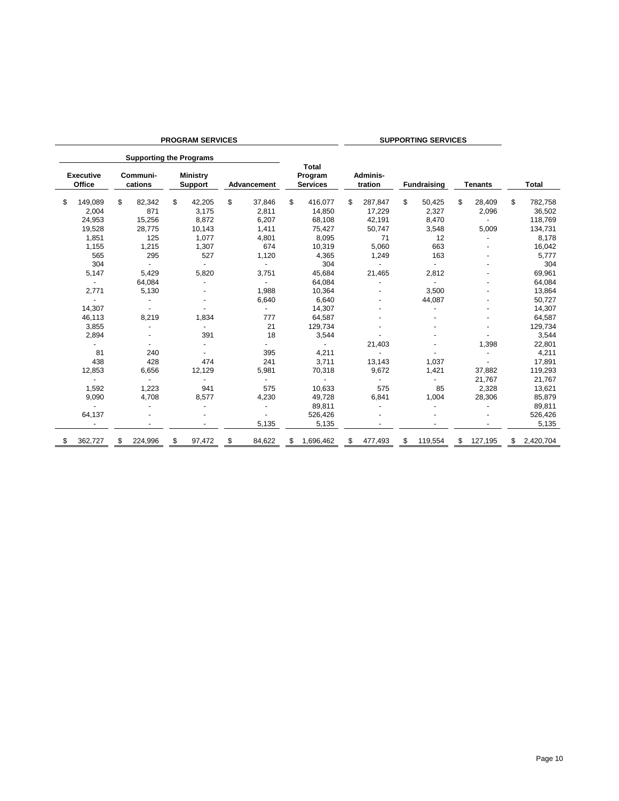| <b>PROGRAM SERVICES</b>    |    |                                |    |                            |    | <b>SUPPORTING SERVICES</b> |    |                                            |    |                     |    |                    |    |                |                 |
|----------------------------|----|--------------------------------|----|----------------------------|----|----------------------------|----|--------------------------------------------|----|---------------------|----|--------------------|----|----------------|-----------------|
|                            |    | <b>Supporting the Programs</b> |    |                            |    |                            |    |                                            |    |                     |    |                    |    |                |                 |
| <b>Executive</b><br>Office |    | Communi-<br>cations            |    | <b>Ministry</b><br>Support |    | Advancement                |    | <b>Total</b><br>Program<br><b>Services</b> |    | Adminis-<br>tration |    | <b>Fundraising</b> |    | <b>Tenants</b> | <b>Total</b>    |
| \$<br>149,089              | \$ | 82,342                         | \$ | 42,205                     | \$ | 37,846                     | \$ | 416,077                                    | \$ | 287,847             | \$ | 50,425             | \$ | 28,409         | \$<br>782,758   |
| 2,004                      |    | 871                            |    | 3,175                      |    | 2,811                      |    | 14,850                                     |    | 17,229              |    | 2,327              |    | 2,096          | 36,502          |
| 24,953                     |    | 15,256                         |    | 8,872                      |    | 6,207                      |    | 68,108                                     |    | 42,191              |    | 8,470              |    |                | 118,769         |
| 19,528                     |    | 28,775                         |    | 10,143                     |    | 1,411                      |    | 75,427                                     |    | 50,747              |    | 3,548              |    | 5,009          | 134,731         |
| 1,851                      |    | 125                            |    | 1,077                      |    | 4,801                      |    | 8,095                                      |    | 71                  |    | 12                 |    |                | 8,178           |
| 1,155                      |    | 1,215                          |    | 1,307                      |    | 674                        |    | 10,319                                     |    | 5,060               |    | 663                |    |                | 16,042          |
| 565                        |    | 295                            |    | 527                        |    | 1,120                      |    | 4,365                                      |    | 1,249               |    | 163                |    |                | 5,777           |
| 304                        |    |                                |    |                            |    | $\overline{\phantom{0}}$   |    | 304                                        |    |                     |    |                    |    |                | 304             |
| 5,147                      |    | 5,429                          |    | 5,820                      |    | 3,751                      |    | 45,684                                     |    | 21,465              |    | 2,812              |    |                | 69,961          |
| $\overline{\phantom{a}}$   |    | 64,084                         |    |                            |    |                            |    | 64,084                                     |    |                     |    |                    |    |                | 64,084          |
| 2,771                      |    | 5,130                          |    |                            |    | 1,988                      |    | 10,364                                     |    |                     |    | 3,500              |    |                | 13,864          |
|                            |    |                                |    |                            |    | 6,640                      |    | 6,640                                      |    |                     |    | 44,087             |    |                | 50,727          |
| 14,307                     |    |                                |    |                            |    |                            |    | 14,307                                     |    |                     |    |                    |    |                | 14,307          |
| 46,113                     |    | 8,219                          |    | 1,834                      |    | 777                        |    | 64,587                                     |    |                     |    |                    |    |                | 64,587          |
| 3,855                      |    |                                |    |                            |    | 21                         |    | 129,734                                    |    |                     |    |                    |    |                | 129,734         |
| 2,894                      |    |                                |    | 391                        |    | 18                         |    | 3,544                                      |    |                     |    |                    |    |                | 3,544           |
|                            |    |                                |    |                            |    |                            |    |                                            |    | 21,403              |    |                    |    | 1,398          | 22,801          |
| 81                         |    | 240                            |    |                            |    | 395                        |    | 4,211                                      |    |                     |    |                    |    |                | 4,211           |
| 438                        |    | 428                            |    | 474                        |    | 241                        |    | 3,711                                      |    | 13,143              |    | 1,037              |    |                | 17,891          |
| 12,853                     |    | 6,656                          |    | 12,129                     |    | 5,981                      |    | 70,318                                     |    | 9,672               |    | 1,421              |    | 37,882         | 119,293         |
|                            |    |                                |    |                            |    |                            |    |                                            |    |                     |    |                    |    | 21,767         | 21,767          |
| 1,592                      |    | 1,223                          |    | 941                        |    | 575                        |    | 10,633                                     |    | 575                 |    | 85                 |    | 2,328          | 13,621          |
| 9,090                      |    | 4,708                          |    | 8,577                      |    | 4,230                      |    | 49,728                                     |    | 6,841               |    | 1,004              |    | 28,306         | 85,879          |
|                            |    |                                |    |                            |    |                            |    | 89,811                                     |    |                     |    |                    |    |                | 89,811          |
| 64,137                     |    |                                |    |                            |    |                            |    | 526,426                                    |    |                     |    |                    |    |                | 526,426         |
|                            |    |                                |    |                            |    | 5,135                      |    | 5,135                                      |    |                     |    |                    |    |                | 5,135           |
| 362,727                    | \$ | 224,996                        | \$ | 97,472                     | \$ | 84,622                     | S  | 1,696,462                                  | S  | 477,493             | \$ | 119,554            | \$ | 127,195        | \$<br>2,420,704 |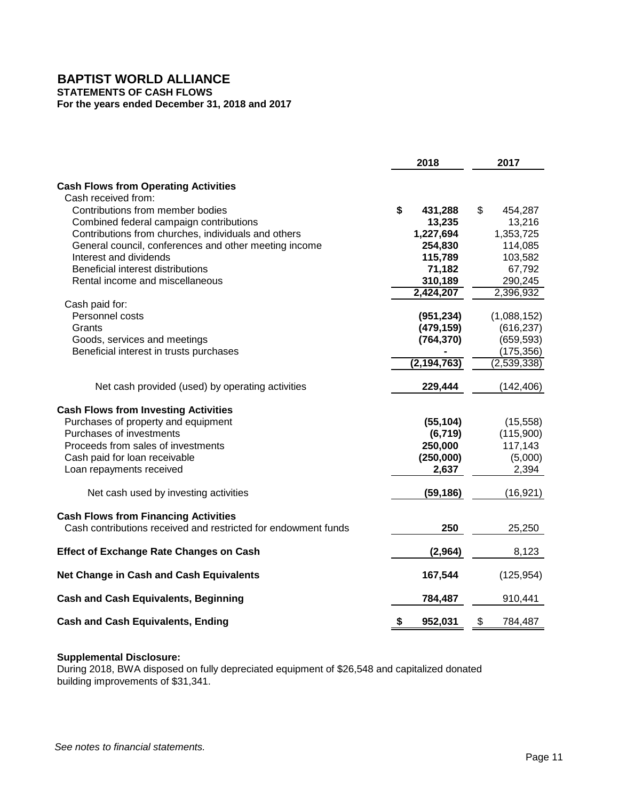**STATEMENTS OF CASH FLOWS**

**For the years ended December 31, 2018 and 2017**

|                                                                | 2018          | 2017          |
|----------------------------------------------------------------|---------------|---------------|
| <b>Cash Flows from Operating Activities</b>                    |               |               |
| Cash received from:                                            |               |               |
| Contributions from member bodies                               | \$<br>431,288 | \$<br>454,287 |
| Combined federal campaign contributions                        | 13,235        | 13,216        |
| Contributions from churches, individuals and others            | 1,227,694     | 1,353,725     |
| General council, conferences and other meeting income          | 254,830       | 114,085       |
| Interest and dividends                                         | 115,789       | 103,582       |
| Beneficial interest distributions                              | 71,182        | 67,792        |
| Rental income and miscellaneous                                | 310,189       | 290,245       |
|                                                                | 2,424,207     | 2,396,932     |
| Cash paid for:                                                 |               |               |
| Personnel costs                                                | (951, 234)    | (1,088,152)   |
| Grants                                                         | (479, 159)    | (616, 237)    |
| Goods, services and meetings                                   | (764, 370)    | (659, 593)    |
| Beneficial interest in trusts purchases                        |               | (175, 356)    |
|                                                                | (2, 194, 763) | (2,539,338)   |
|                                                                |               |               |
| Net cash provided (used) by operating activities               | 229,444       | (142, 406)    |
|                                                                |               |               |
| <b>Cash Flows from Investing Activities</b>                    |               |               |
| Purchases of property and equipment                            | (55, 104)     | (15, 558)     |
| Purchases of investments                                       | (6, 719)      | (115,900)     |
| Proceeds from sales of investments                             | 250,000       | 117,143       |
| Cash paid for loan receivable                                  | (250,000)     | (5,000)       |
| Loan repayments received                                       | 2,637         | 2,394         |
| Net cash used by investing activities                          | (59, 186)     | (16, 921)     |
| <b>Cash Flows from Financing Activities</b>                    |               |               |
| Cash contributions received and restricted for endowment funds | 250           | 25,250        |
|                                                                |               |               |
| <b>Effect of Exchange Rate Changes on Cash</b>                 | (2,964)       | 8,123         |
| <b>Net Change in Cash and Cash Equivalents</b>                 | 167,544       | (125, 954)    |
| <b>Cash and Cash Equivalents, Beginning</b>                    | 784,487       | 910,441       |
| <b>Cash and Cash Equivalents, Ending</b>                       | \$<br>952,031 | \$<br>784,487 |

#### **Supplemental Disclosure:**

During 2018, BWA disposed on fully depreciated equipment of \$26,548 and capitalized donated building improvements of \$31,341.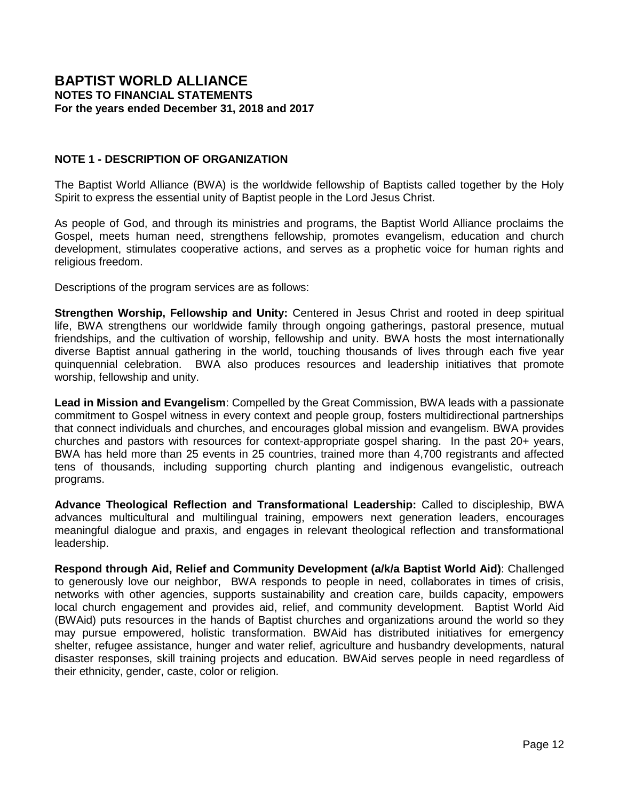# **NOTE 1 - DESCRIPTION OF ORGANIZATION**

The Baptist World Alliance (BWA) is the worldwide fellowship of Baptists called together by the Holy Spirit to express the essential unity of Baptist people in the Lord Jesus Christ.

As people of God, and through its ministries and programs, the Baptist World Alliance proclaims the Gospel, meets human need, strengthens fellowship, promotes evangelism, education and church development, stimulates cooperative actions, and serves as a prophetic voice for human rights and religious freedom.

Descriptions of the program services are as follows:

**Strengthen Worship, Fellowship and Unity:** Centered in Jesus Christ and rooted in deep spiritual life, BWA strengthens our worldwide family through ongoing gatherings, pastoral presence, mutual friendships, and the cultivation of worship, fellowship and unity. BWA hosts the most internationally diverse Baptist annual gathering in the world, touching thousands of lives through each five year quinquennial celebration. BWA also produces resources and leadership initiatives that promote worship, fellowship and unity.

**Lead in Mission and Evangelism**: Compelled by the Great Commission, BWA leads with a passionate commitment to Gospel witness in every context and people group, fosters multidirectional partnerships that connect individuals and churches, and encourages global mission and evangelism. BWA provides churches and pastors with resources for context-appropriate gospel sharing. In the past 20+ years, BWA has held more than 25 events in 25 countries, trained more than 4,700 registrants and affected tens of thousands, including supporting church planting and indigenous evangelistic, outreach programs.

**Advance Theological Reflection and Transformational Leadership:** Called to discipleship, BWA advances multicultural and multilingual training, empowers next generation leaders, encourages meaningful dialogue and praxis, and engages in relevant theological reflection and transformational leadership.

**Respond through Aid, Relief and Community Development (a/k/a Baptist World Aid)**: Challenged to generously love our neighbor, BWA responds to people in need, collaborates in times of crisis, networks with other agencies, supports sustainability and creation care, builds capacity, empowers local church engagement and provides aid, relief, and community development. Baptist World Aid (BWAid) puts resources in the hands of Baptist churches and organizations around the world so they may pursue empowered, holistic transformation. BWAid has distributed initiatives for emergency shelter, refugee assistance, hunger and water relief, agriculture and husbandry developments, natural disaster responses, skill training projects and education. BWAid serves people in need regardless of their ethnicity, gender, caste, color or religion.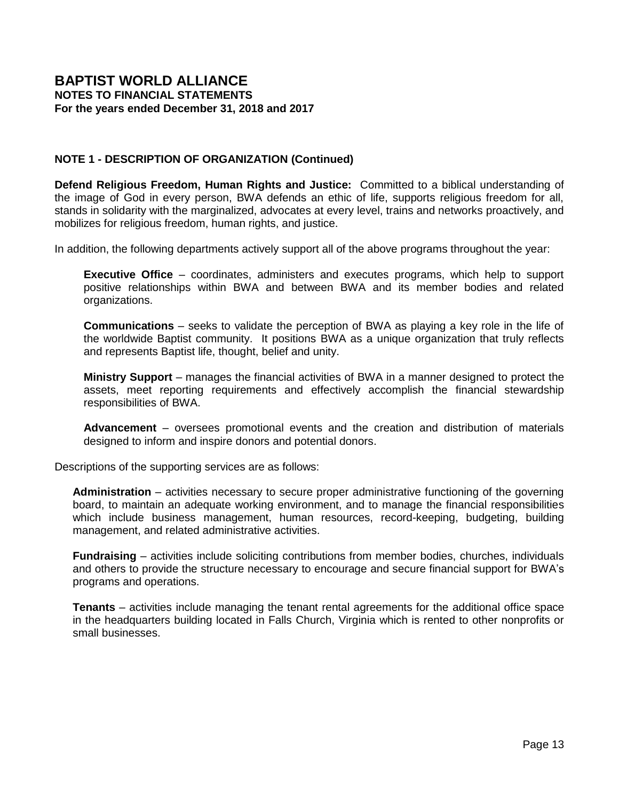# **NOTE 1 - DESCRIPTION OF ORGANIZATION (Continued)**

**Defend Religious Freedom, Human Rights and Justice:** Committed to a biblical understanding of the image of God in every person, BWA defends an ethic of life, supports religious freedom for all, stands in solidarity with the marginalized, advocates at every level, trains and networks proactively, and mobilizes for religious freedom, human rights, and justice.

In addition, the following departments actively support all of the above programs throughout the year:

**Executive Office** – coordinates, administers and executes programs, which help to support positive relationships within BWA and between BWA and its member bodies and related organizations.

**Communications** – seeks to validate the perception of BWA as playing a key role in the life of the worldwide Baptist community. It positions BWA as a unique organization that truly reflects and represents Baptist life, thought, belief and unity.

**Ministry Support** – manages the financial activities of BWA in a manner designed to protect the assets, meet reporting requirements and effectively accomplish the financial stewardship responsibilities of BWA.

**Advancement** – oversees promotional events and the creation and distribution of materials designed to inform and inspire donors and potential donors.

Descriptions of the supporting services are as follows:

**Administration** – activities necessary to secure proper administrative functioning of the governing board, to maintain an adequate working environment, and to manage the financial responsibilities which include business management, human resources, record-keeping, budgeting, building management, and related administrative activities.

**Fundraising** – activities include soliciting contributions from member bodies, churches, individuals and others to provide the structure necessary to encourage and secure financial support for BWA's programs and operations.

**Tenants** – activities include managing the tenant rental agreements for the additional office space in the headquarters building located in Falls Church, Virginia which is rented to other nonprofits or small businesses.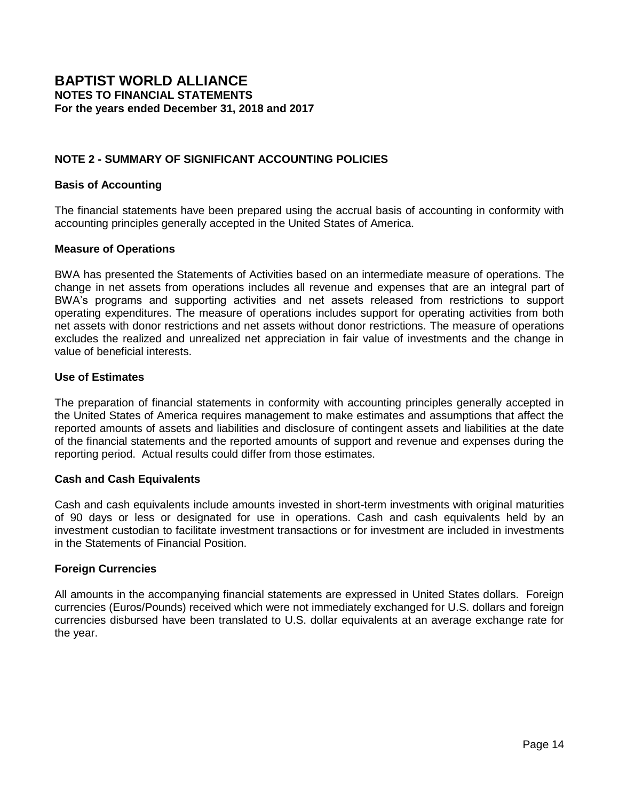# **NOTE 2 - SUMMARY OF SIGNIFICANT ACCOUNTING POLICIES**

#### **Basis of Accounting**

The financial statements have been prepared using the accrual basis of accounting in conformity with accounting principles generally accepted in the United States of America.

#### **Measure of Operations**

BWA has presented the Statements of Activities based on an intermediate measure of operations. The change in net assets from operations includes all revenue and expenses that are an integral part of BWA's programs and supporting activities and net assets released from restrictions to support operating expenditures. The measure of operations includes support for operating activities from both net assets with donor restrictions and net assets without donor restrictions. The measure of operations excludes the realized and unrealized net appreciation in fair value of investments and the change in value of beneficial interests.

#### **Use of Estimates**

The preparation of financial statements in conformity with accounting principles generally accepted in the United States of America requires management to make estimates and assumptions that affect the reported amounts of assets and liabilities and disclosure of contingent assets and liabilities at the date of the financial statements and the reported amounts of support and revenue and expenses during the reporting period. Actual results could differ from those estimates.

#### **Cash and Cash Equivalents**

Cash and cash equivalents include amounts invested in short-term investments with original maturities of 90 days or less or designated for use in operations. Cash and cash equivalents held by an investment custodian to facilitate investment transactions or for investment are included in investments in the Statements of Financial Position.

#### **Foreign Currencies**

All amounts in the accompanying financial statements are expressed in United States dollars. Foreign currencies (Euros/Pounds) received which were not immediately exchanged for U.S. dollars and foreign currencies disbursed have been translated to U.S. dollar equivalents at an average exchange rate for the year.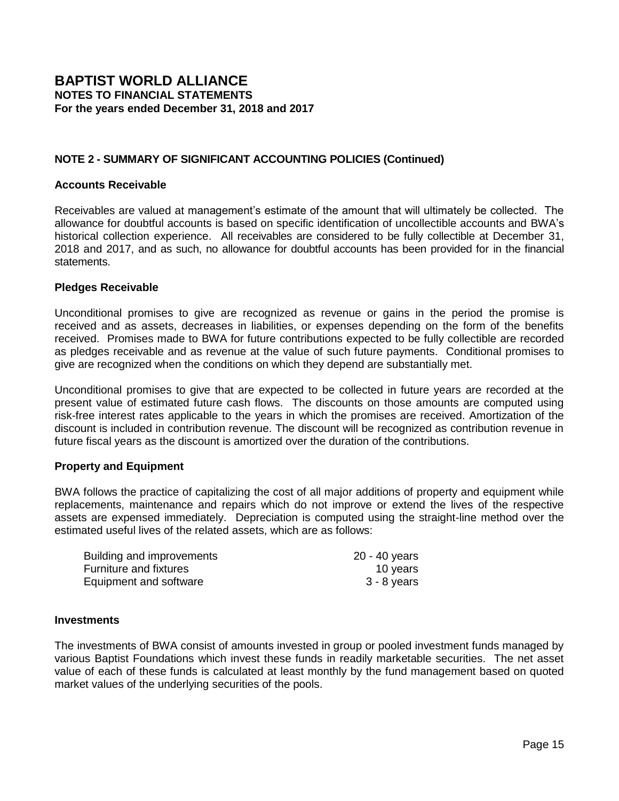# **NOTE 2 - SUMMARY OF SIGNIFICANT ACCOUNTING POLICIES (Continued)**

#### **Accounts Receivable**

Receivables are valued at management's estimate of the amount that will ultimately be collected. The allowance for doubtful accounts is based on specific identification of uncollectible accounts and BWA's historical collection experience. All receivables are considered to be fully collectible at December 31, 2018 and 2017, and as such, no allowance for doubtful accounts has been provided for in the financial statements.

#### **Pledges Receivable**

Unconditional promises to give are recognized as revenue or gains in the period the promise is received and as assets, decreases in liabilities, or expenses depending on the form of the benefits received. Promises made to BWA for future contributions expected to be fully collectible are recorded as pledges receivable and as revenue at the value of such future payments. Conditional promises to give are recognized when the conditions on which they depend are substantially met.

Unconditional promises to give that are expected to be collected in future years are recorded at the present value of estimated future cash flows. The discounts on those amounts are computed using risk-free interest rates applicable to the years in which the promises are received. Amortization of the discount is included in contribution revenue. The discount will be recognized as contribution revenue in future fiscal years as the discount is amortized over the duration of the contributions.

#### **Property and Equipment**

BWA follows the practice of capitalizing the cost of all major additions of property and equipment while replacements, maintenance and repairs which do not improve or extend the lives of the respective assets are expensed immediately. Depreciation is computed using the straight-line method over the estimated useful lives of the related assets, which are as follows:

| Building and improvements | 20 - 40 years |
|---------------------------|---------------|
| Furniture and fixtures    | 10 years      |
| Equipment and software    | 3 - 8 years   |

#### **Investments**

The investments of BWA consist of amounts invested in group or pooled investment funds managed by various Baptist Foundations which invest these funds in readily marketable securities. The net asset value of each of these funds is calculated at least monthly by the fund management based on quoted market values of the underlying securities of the pools.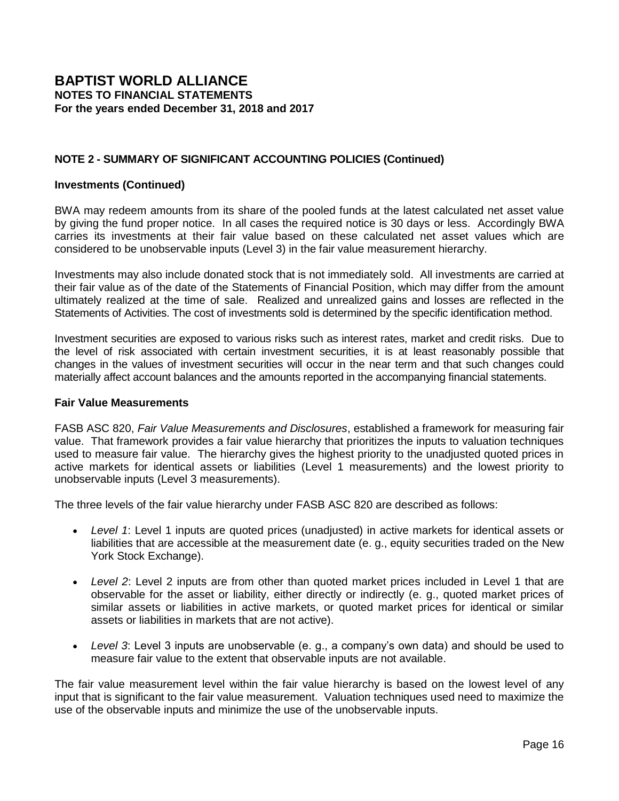# **NOTE 2 - SUMMARY OF SIGNIFICANT ACCOUNTING POLICIES (Continued)**

#### **Investments (Continued)**

BWA may redeem amounts from its share of the pooled funds at the latest calculated net asset value by giving the fund proper notice. In all cases the required notice is 30 days or less. Accordingly BWA carries its investments at their fair value based on these calculated net asset values which are considered to be unobservable inputs (Level 3) in the fair value measurement hierarchy.

Investments may also include donated stock that is not immediately sold. All investments are carried at their fair value as of the date of the Statements of Financial Position, which may differ from the amount ultimately realized at the time of sale. Realized and unrealized gains and losses are reflected in the Statements of Activities. The cost of investments sold is determined by the specific identification method.

Investment securities are exposed to various risks such as interest rates, market and credit risks. Due to the level of risk associated with certain investment securities, it is at least reasonably possible that changes in the values of investment securities will occur in the near term and that such changes could materially affect account balances and the amounts reported in the accompanying financial statements.

#### **Fair Value Measurements**

FASB ASC 820, *Fair Value Measurements and Disclosures*, established a framework for measuring fair value. That framework provides a fair value hierarchy that prioritizes the inputs to valuation techniques used to measure fair value. The hierarchy gives the highest priority to the unadjusted quoted prices in active markets for identical assets or liabilities (Level 1 measurements) and the lowest priority to unobservable inputs (Level 3 measurements).

The three levels of the fair value hierarchy under FASB ASC 820 are described as follows:

- *Level 1*: Level 1 inputs are quoted prices (unadjusted) in active markets for identical assets or liabilities that are accessible at the measurement date (e. g., equity securities traded on the New York Stock Exchange).
- *Level 2*: Level 2 inputs are from other than quoted market prices included in Level 1 that are observable for the asset or liability, either directly or indirectly (e. g., quoted market prices of similar assets or liabilities in active markets, or quoted market prices for identical or similar assets or liabilities in markets that are not active).
- *Level 3*: Level 3 inputs are unobservable (e. g., a company's own data) and should be used to measure fair value to the extent that observable inputs are not available.

The fair value measurement level within the fair value hierarchy is based on the lowest level of any input that is significant to the fair value measurement. Valuation techniques used need to maximize the use of the observable inputs and minimize the use of the unobservable inputs.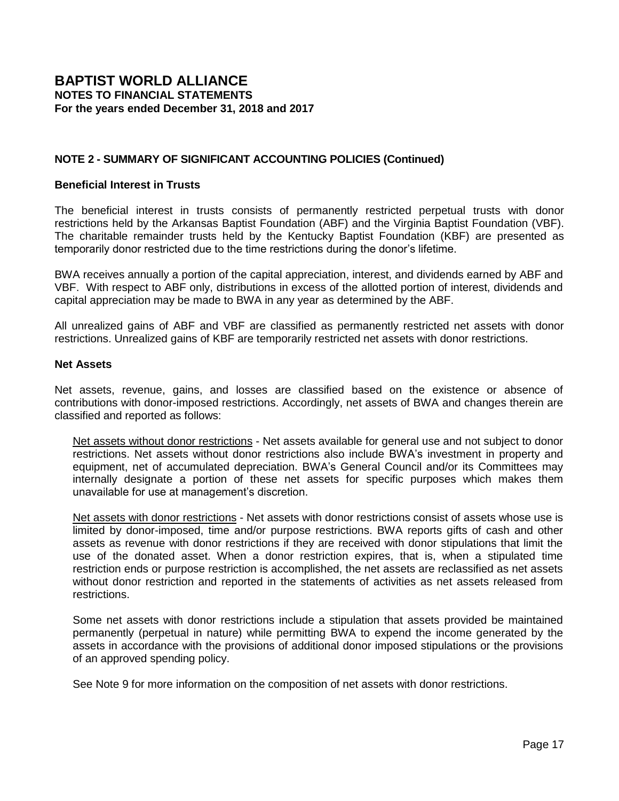## **NOTE 2 - SUMMARY OF SIGNIFICANT ACCOUNTING POLICIES (Continued)**

#### **Beneficial Interest in Trusts**

The beneficial interest in trusts consists of permanently restricted perpetual trusts with donor restrictions held by the Arkansas Baptist Foundation (ABF) and the Virginia Baptist Foundation (VBF). The charitable remainder trusts held by the Kentucky Baptist Foundation (KBF) are presented as temporarily donor restricted due to the time restrictions during the donor's lifetime.

BWA receives annually a portion of the capital appreciation, interest, and dividends earned by ABF and VBF. With respect to ABF only, distributions in excess of the allotted portion of interest, dividends and capital appreciation may be made to BWA in any year as determined by the ABF.

All unrealized gains of ABF and VBF are classified as permanently restricted net assets with donor restrictions. Unrealized gains of KBF are temporarily restricted net assets with donor restrictions.

#### **Net Assets**

Net assets, revenue, gains, and losses are classified based on the existence or absence of contributions with donor-imposed restrictions. Accordingly, net assets of BWA and changes therein are classified and reported as follows:

Net assets without donor restrictions - Net assets available for general use and not subject to donor restrictions. Net assets without donor restrictions also include BWA's investment in property and equipment, net of accumulated depreciation. BWA's General Council and/or its Committees may internally designate a portion of these net assets for specific purposes which makes them unavailable for use at management's discretion.

Net assets with donor restrictions - Net assets with donor restrictions consist of assets whose use is limited by donor-imposed, time and/or purpose restrictions. BWA reports gifts of cash and other assets as revenue with donor restrictions if they are received with donor stipulations that limit the use of the donated asset. When a donor restriction expires, that is, when a stipulated time restriction ends or purpose restriction is accomplished, the net assets are reclassified as net assets without donor restriction and reported in the statements of activities as net assets released from restrictions.

Some net assets with donor restrictions include a stipulation that assets provided be maintained permanently (perpetual in nature) while permitting BWA to expend the income generated by the assets in accordance with the provisions of additional donor imposed stipulations or the provisions of an approved spending policy.

See Note 9 for more information on the composition of net assets with donor restrictions.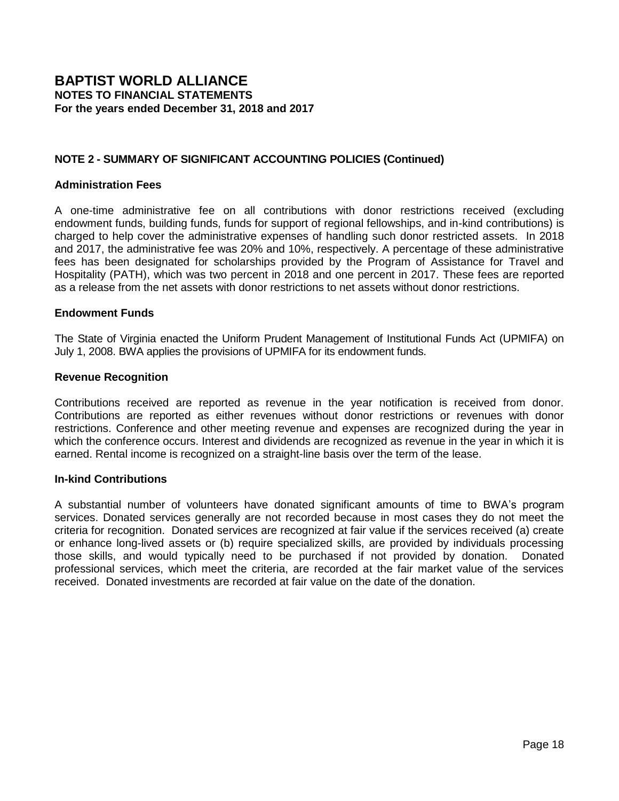# **NOTE 2 - SUMMARY OF SIGNIFICANT ACCOUNTING POLICIES (Continued)**

#### **Administration Fees**

A one-time administrative fee on all contributions with donor restrictions received (excluding endowment funds, building funds, funds for support of regional fellowships, and in-kind contributions) is charged to help cover the administrative expenses of handling such donor restricted assets. In 2018 and 2017, the administrative fee was 20% and 10%, respectively. A percentage of these administrative fees has been designated for scholarships provided by the Program of Assistance for Travel and Hospitality (PATH), which was two percent in 2018 and one percent in 2017. These fees are reported as a release from the net assets with donor restrictions to net assets without donor restrictions.

#### **Endowment Funds**

The State of Virginia enacted the Uniform Prudent Management of Institutional Funds Act (UPMIFA) on July 1, 2008. BWA applies the provisions of UPMIFA for its endowment funds.

#### **Revenue Recognition**

Contributions received are reported as revenue in the year notification is received from donor. Contributions are reported as either revenues without donor restrictions or revenues with donor restrictions. Conference and other meeting revenue and expenses are recognized during the year in which the conference occurs. Interest and dividends are recognized as revenue in the year in which it is earned. Rental income is recognized on a straight-line basis over the term of the lease.

#### **In-kind Contributions**

A substantial number of volunteers have donated significant amounts of time to BWA's program services. Donated services generally are not recorded because in most cases they do not meet the criteria for recognition. Donated services are recognized at fair value if the services received (a) create or enhance long-lived assets or (b) require specialized skills, are provided by individuals processing those skills, and would typically need to be purchased if not provided by donation. Donated professional services, which meet the criteria, are recorded at the fair market value of the services received. Donated investments are recorded at fair value on the date of the donation.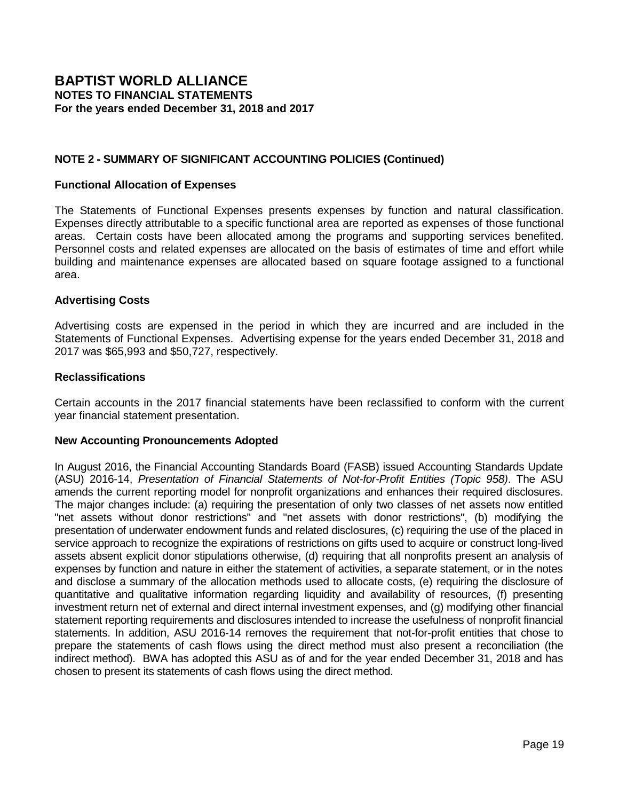## **NOTE 2 - SUMMARY OF SIGNIFICANT ACCOUNTING POLICIES (Continued)**

#### **Functional Allocation of Expenses**

The Statements of Functional Expenses presents expenses by function and natural classification. Expenses directly attributable to a specific functional area are reported as expenses of those functional areas. Certain costs have been allocated among the programs and supporting services benefited. Personnel costs and related expenses are allocated on the basis of estimates of time and effort while building and maintenance expenses are allocated based on square footage assigned to a functional area.

#### **Advertising Costs**

Advertising costs are expensed in the period in which they are incurred and are included in the Statements of Functional Expenses. Advertising expense for the years ended December 31, 2018 and 2017 was \$65,993 and \$50,727, respectively.

#### **Reclassifications**

Certain accounts in the 2017 financial statements have been reclassified to conform with the current year financial statement presentation.

#### **New Accounting Pronouncements Adopted**

In August 2016, the Financial Accounting Standards Board (FASB) issued Accounting Standards Update (ASU) 2016-14, *Presentation of Financial Statements of Not-for-Profit Entities (Topic 958)*. The ASU amends the current reporting model for nonprofit organizations and enhances their required disclosures. The major changes include: (a) requiring the presentation of only two classes of net assets now entitled "net assets without donor restrictions" and "net assets with donor restrictions", (b) modifying the presentation of underwater endowment funds and related disclosures, (c) requiring the use of the placed in service approach to recognize the expirations of restrictions on gifts used to acquire or construct long-lived assets absent explicit donor stipulations otherwise, (d) requiring that all nonprofits present an analysis of expenses by function and nature in either the statement of activities, a separate statement, or in the notes and disclose a summary of the allocation methods used to allocate costs, (e) requiring the disclosure of quantitative and qualitative information regarding liquidity and availability of resources, (f) presenting investment return net of external and direct internal investment expenses, and (g) modifying other financial statement reporting requirements and disclosures intended to increase the usefulness of nonprofit financial statements. In addition, ASU 2016-14 removes the requirement that not-for-profit entities that chose to prepare the statements of cash flows using the direct method must also present a reconciliation (the indirect method). BWA has adopted this ASU as of and for the year ended December 31, 2018 and has chosen to present its statements of cash flows using the direct method.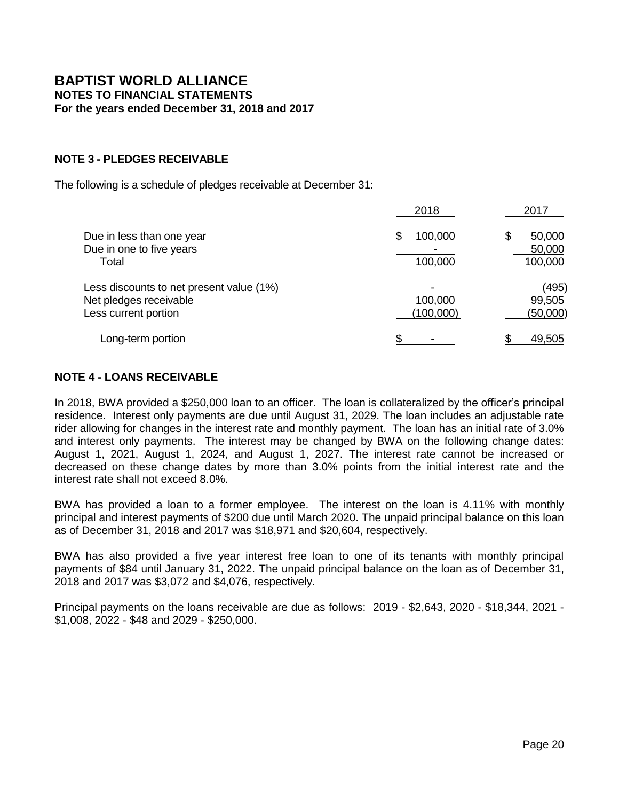#### **NOTE 3 - PLEDGES RECEIVABLE**

The following is a schedule of pledges receivable at December 31:

|                                                                                            | 2018                     | 2017                              |
|--------------------------------------------------------------------------------------------|--------------------------|-----------------------------------|
| Due in less than one year<br>Due in one to five years<br>Total                             | 100,000<br>\$<br>100,000 | 50,000<br>\$<br>50,000<br>100,000 |
| Less discounts to net present value (1%)<br>Net pledges receivable<br>Less current portion | 100,000<br>(100,000)     | (495)<br>99,505<br>(50,000)       |
| Long-term portion                                                                          |                          | 49,505                            |

#### **NOTE 4 - LOANS RECEIVABLE**

In 2018, BWA provided a \$250,000 loan to an officer. The loan is collateralized by the officer's principal residence. Interest only payments are due until August 31, 2029. The loan includes an adjustable rate rider allowing for changes in the interest rate and monthly payment. The loan has an initial rate of 3.0% and interest only payments. The interest may be changed by BWA on the following change dates: August 1, 2021, August 1, 2024, and August 1, 2027. The interest rate cannot be increased or decreased on these change dates by more than 3.0% points from the initial interest rate and the interest rate shall not exceed 8.0%.

BWA has provided a loan to a former employee. The interest on the loan is 4.11% with monthly principal and interest payments of \$200 due until March 2020. The unpaid principal balance on this loan as of December 31, 2018 and 2017 was \$18,971 and \$20,604, respectively.

BWA has also provided a five year interest free loan to one of its tenants with monthly principal payments of \$84 until January 31, 2022. The unpaid principal balance on the loan as of December 31, 2018 and 2017 was \$3,072 and \$4,076, respectively.

Principal payments on the loans receivable are due as follows: 2019 - \$2,643, 2020 - \$18,344, 2021 - \$1,008, 2022 - \$48 and 2029 - \$250,000.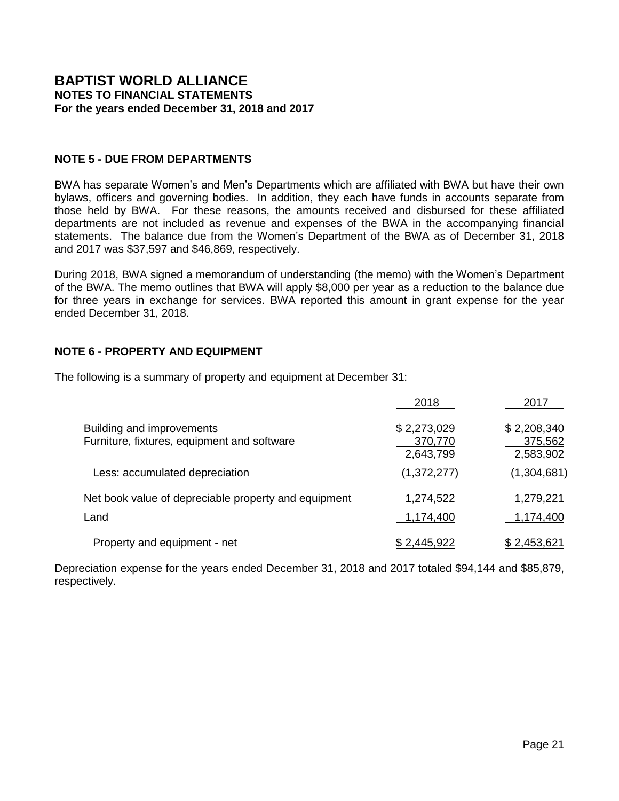# **NOTE 5 - DUE FROM DEPARTMENTS**

BWA has separate Women's and Men's Departments which are affiliated with BWA but have their own bylaws, officers and governing bodies. In addition, they each have funds in accounts separate from those held by BWA. For these reasons, the amounts received and disbursed for these affiliated departments are not included as revenue and expenses of the BWA in the accompanying financial statements. The balance due from the Women's Department of the BWA as of December 31, 2018 and 2017 was \$37,597 and \$46,869, respectively.

During 2018, BWA signed a memorandum of understanding (the memo) with the Women's Department of the BWA. The memo outlines that BWA will apply \$8,000 per year as a reduction to the balance due for three years in exchange for services. BWA reported this amount in grant expense for the year ended December 31, 2018.

## **NOTE 6 - PROPERTY AND EQUIPMENT**

The following is a summary of property and equipment at December 31:

|                                                                          | 2018                                | 2017                                |
|--------------------------------------------------------------------------|-------------------------------------|-------------------------------------|
| Building and improvements<br>Furniture, fixtures, equipment and software | \$2,273,029<br>370,770<br>2,643,799 | \$2,208,340<br>375,562<br>2,583,902 |
| Less: accumulated depreciation                                           | (1,372,277)                         | (1,304,681)                         |
| Net book value of depreciable property and equipment<br>Land             | 1,274,522<br>1,174,400              | 1,279,221<br>1,174,400              |
| Property and equipment - net                                             | 2,445,922                           | \$2,453,621                         |

Depreciation expense for the years ended December 31, 2018 and 2017 totaled \$94,144 and \$85,879, respectively.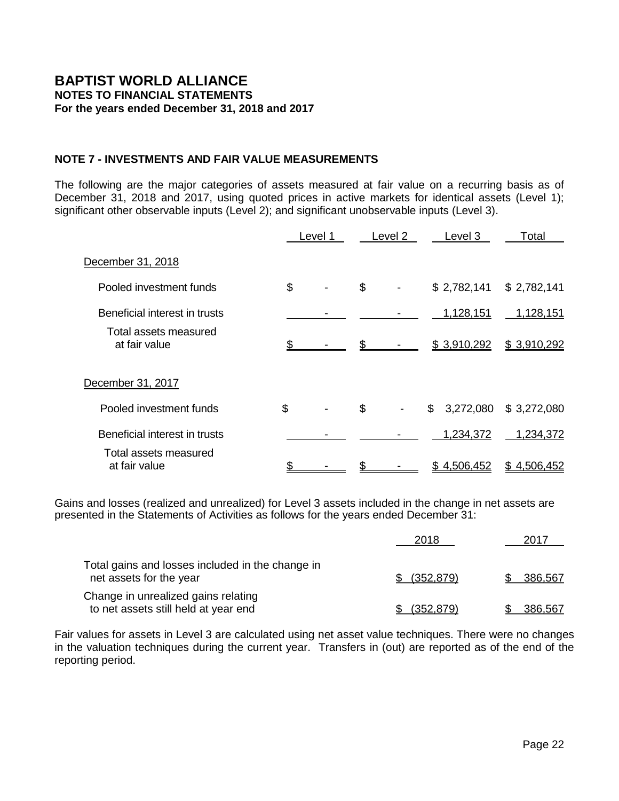# **NOTE 7 - INVESTMENTS AND FAIR VALUE MEASUREMENTS**

The following are the major categories of assets measured at fair value on a recurring basis as of December 31, 2018 and 2017, using quoted prices in active markets for identical assets (Level 1); significant other observable inputs (Level 2); and significant unobservable inputs (Level 3).

|                                        | Level 1 | Level 2 | Level 3         | Total        |
|----------------------------------------|---------|---------|-----------------|--------------|
| December 31, 2018                      |         |         |                 |              |
| Pooled investment funds                | \$      | \$      | \$2,782,141     | \$2,782,141  |
| Beneficial interest in trusts          |         |         | 1,128,151       | 1,128,151    |
| Total assets measured<br>at fair value |         |         | \$3,910,292     | \$ 3,910,292 |
| December 31, 2017                      |         |         |                 |              |
| Pooled investment funds                | \$      | \$      | 3,272,080<br>\$ | \$3,272,080  |
| Beneficial interest in trusts          |         |         | 1,234,372       | 1,234,372    |
| Total assets measured<br>at fair value |         |         | \$4,506,452     | \$4,506,452  |

Gains and losses (realized and unrealized) for Level 3 assets included in the change in net assets are presented in the Statements of Activities as follows for the years ended December 31:

|                                                                             | 2018       | 2017    |
|-----------------------------------------------------------------------------|------------|---------|
| Total gains and losses included in the change in<br>net assets for the year | (352, 879) | 386,567 |
| Change in unrealized gains relating<br>to net assets still held at year end | (352, 879) | 386.567 |

Fair values for assets in Level 3 are calculated using net asset value techniques. There were no changes in the valuation techniques during the current year. Transfers in (out) are reported as of the end of the reporting period.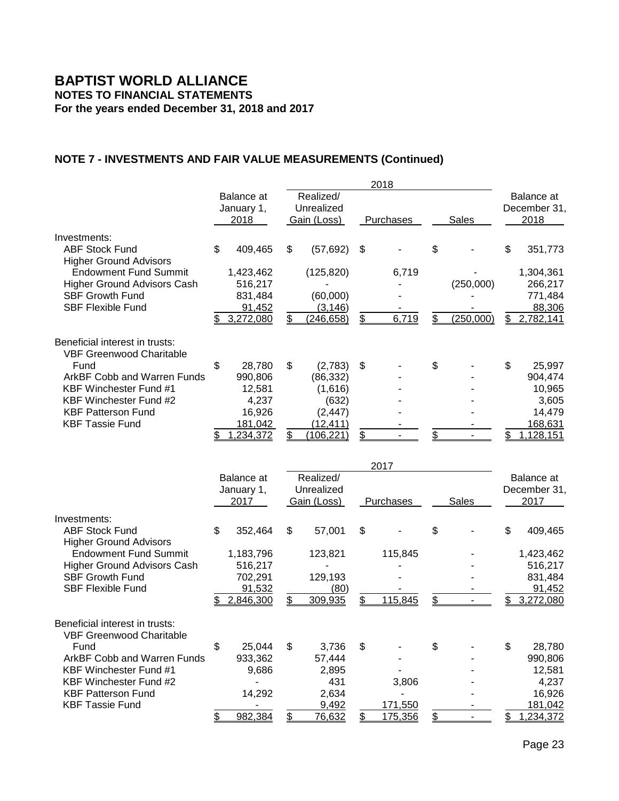# **NOTE 7 - INVESTMENTS AND FAIR VALUE MEASUREMENTS (Continued)**

|                                                                   |                                         |                                        | 2018               |                 |                                    |
|-------------------------------------------------------------------|-----------------------------------------|----------------------------------------|--------------------|-----------------|------------------------------------|
|                                                                   | Balance at<br>January 1,                | Realized/<br>Unrealized                |                    |                 | Balance at<br>December 31,         |
|                                                                   | 2018                                    | Gain (Loss)                            | Purchases          | Sales           | 2018                               |
| Investments:<br><b>ABF Stock Fund</b>                             | \$<br>409,465                           | \$<br>(57, 692)                        | \$                 | \$              | \$<br>351,773                      |
| <b>Higher Ground Advisors</b>                                     |                                         |                                        |                    |                 |                                    |
| <b>Endowment Fund Summit</b>                                      | 1,423,462                               | (125, 820)                             | 6,719              |                 | 1,304,361                          |
| <b>Higher Ground Advisors Cash</b>                                | 516,217                                 |                                        |                    | (250,000)       | 266,217                            |
| <b>SBF Growth Fund</b><br><b>SBF Flexible Fund</b>                | 831,484                                 | (60,000)                               |                    |                 | 771,484                            |
|                                                                   | 91,452<br>3,272,080                     | \$<br>(3, 146)<br>(246, 658)           | \$<br>6,719        | \$<br>(250,000) | \$<br>88,306<br>2,782,141          |
|                                                                   |                                         |                                        |                    |                 |                                    |
| Beneficial interest in trusts:<br><b>VBF Greenwood Charitable</b> |                                         |                                        |                    |                 |                                    |
| Fund                                                              | \$<br>28,780                            | \$<br>(2,783)                          | \$                 | \$              | \$<br>25,997                       |
| <b>ArkBF Cobb and Warren Funds</b>                                | 990,806                                 | (86, 332)                              |                    |                 | 904,474                            |
| <b>KBF Winchester Fund #1</b>                                     | 12,581                                  | (1,616)                                |                    |                 | 10,965                             |
| KBF Winchester Fund #2<br><b>KBF Patterson Fund</b>               | 4,237                                   | (632)                                  |                    |                 | 3,605                              |
| <b>KBF Tassie Fund</b>                                            | 16,926<br>181,042                       | (2, 447)<br>(12, 411)                  |                    |                 | 14,479<br>168,631                  |
|                                                                   | 1,234,372                               | \$<br>(106, 221)                       | \$                 | \$              | 1,128,151                          |
|                                                                   | <b>Balance</b> at<br>January 1,<br>2017 | Realized/<br>Unrealized<br>Gain (Loss) | 2017<br>Purchases  | <b>Sales</b>    | Balance at<br>December 31,<br>2017 |
| Investments:                                                      |                                         |                                        |                    |                 |                                    |
| <b>ABF Stock Fund</b><br><b>Higher Ground Advisors</b>            | \$<br>352,464                           | \$<br>57,001                           | \$                 | \$              | \$<br>409,465                      |
| <b>Endowment Fund Summit</b>                                      | 1,183,796                               | 123,821                                | 115,845            |                 | 1,423,462                          |
| <b>Higher Ground Advisors Cash</b>                                | 516,217                                 |                                        |                    |                 | 516,217                            |
| <b>SBF Growth Fund</b><br><b>SBF Flexible Fund</b>                | 702,291                                 | 129,193                                |                    |                 | 831,484                            |
|                                                                   | 91,532<br>2,846,300                     | \$<br>(80)<br>309,935                  | \$<br>115,845      | \$              | \$<br>91,452<br>3,272,080          |
|                                                                   |                                         |                                        |                    |                 |                                    |
| Beneficial interest in trusts:<br>VBF Greenwood Charitable        |                                         |                                        |                    |                 |                                    |
| Fund                                                              | \$<br>25,044                            | \$<br>3,736                            | \$                 | \$              | \$<br>28,780                       |
| ArkBF Cobb and Warren Funds                                       | 933,362                                 | 57,444                                 |                    |                 | 990,806                            |
| <b>KBF Winchester Fund #1</b>                                     | 9,686                                   | 2,895                                  |                    |                 | 12,581                             |
| <b>KBF Winchester Fund #2</b>                                     |                                         | 431                                    | 3,806              |                 | 4,237                              |
| <b>KBF Patterson Fund</b>                                         | 14,292                                  | 2,634                                  |                    |                 | 16,926                             |
| <b>KBF Tassie Fund</b>                                            | \$<br>982,384                           | \$<br>9,492<br>76,632                  | 171,550<br>175,356 | \$              | \$<br>181,042<br>1,234,372         |
|                                                                   |                                         |                                        |                    |                 |                                    |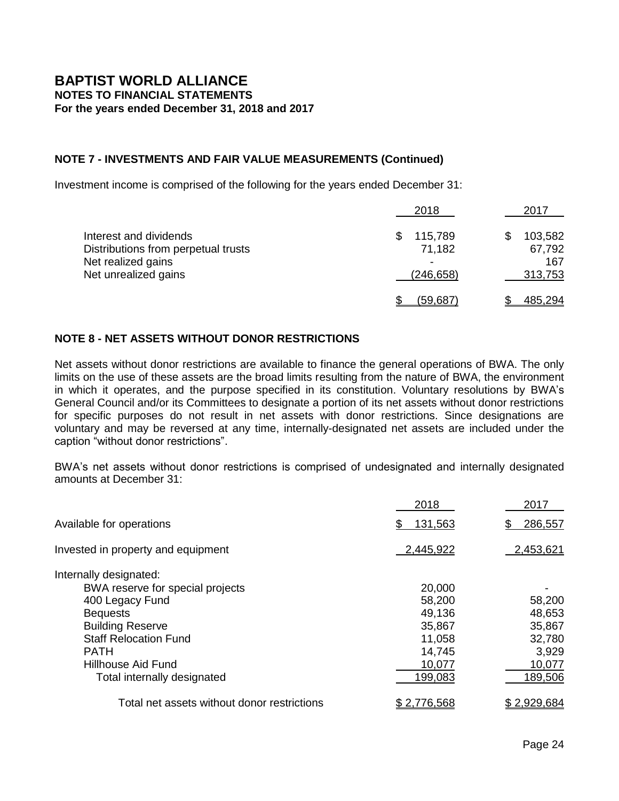# **NOTE 7 - INVESTMENTS AND FAIR VALUE MEASUREMENTS (Continued)**

Investment income is comprised of the following for the years ended December 31:

|                                     | 2018       | 2017    |
|-------------------------------------|------------|---------|
| Interest and dividends              | 115,789    | 103,582 |
| Distributions from perpetual trusts | 71,182     | 67,792  |
| Net realized gains                  |            | 167     |
| Net unrealized gains                | (246, 658) | 313,753 |
|                                     | (59, 687)  | 485,294 |

## **NOTE 8 - NET ASSETS WITHOUT DONOR RESTRICTIONS**

Net assets without donor restrictions are available to finance the general operations of BWA. The only limits on the use of these assets are the broad limits resulting from the nature of BWA, the environment in which it operates, and the purpose specified in its constitution. Voluntary resolutions by BWA's General Council and/or its Committees to designate a portion of its net assets without donor restrictions for specific purposes do not result in net assets with donor restrictions. Since designations are voluntary and may be reversed at any time, internally-designated net assets are included under the caption "without donor restrictions".

BWA's net assets without donor restrictions is comprised of undesignated and internally designated amounts at December 31:

|                                             | 2018          | 2017         |
|---------------------------------------------|---------------|--------------|
| Available for operations                    | 131,563<br>\$ | 286,557<br>S |
| Invested in property and equipment          | 2,445,922     | 2,453,621    |
| Internally designated:                      |               |              |
| BWA reserve for special projects            | 20,000        |              |
| 400 Legacy Fund                             | 58,200        | 58,200       |
| <b>Bequests</b>                             | 49,136        | 48,653       |
| <b>Building Reserve</b>                     | 35,867        | 35,867       |
| <b>Staff Relocation Fund</b>                | 11,058        | 32,780       |
| <b>PATH</b>                                 | 14,745        | 3,929        |
| Hillhouse Aid Fund                          | 10,077        | 10,077       |
| Total internally designated                 | 199,083       | 189,506      |
| Total net assets without donor restrictions | \$2,776,568   | \$2,929,684  |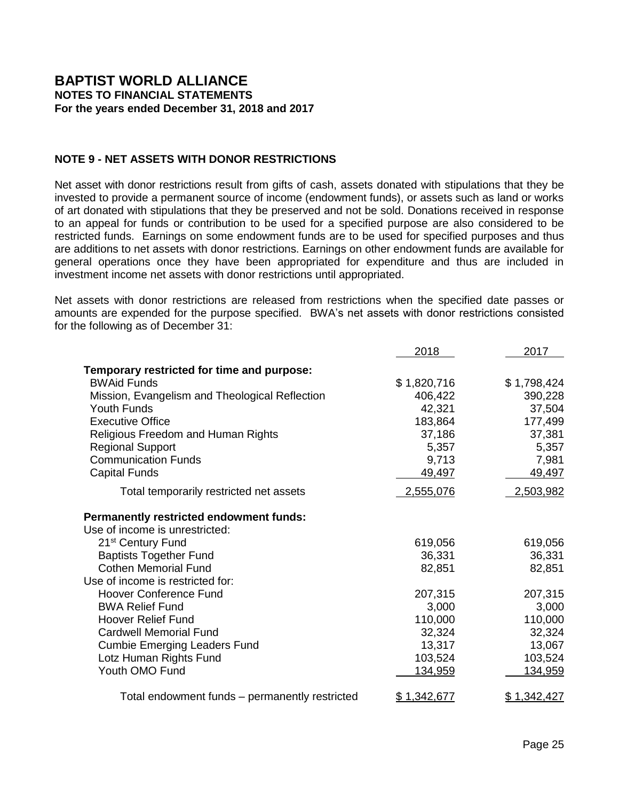# **NOTE 9 - NET ASSETS WITH DONOR RESTRICTIONS**

Net asset with donor restrictions result from gifts of cash, assets donated with stipulations that they be invested to provide a permanent source of income (endowment funds), or assets such as land or works of art donated with stipulations that they be preserved and not be sold. Donations received in response to an appeal for funds or contribution to be used for a specified purpose are also considered to be restricted funds. Earnings on some endowment funds are to be used for specified purposes and thus are additions to net assets with donor restrictions. Earnings on other endowment funds are available for general operations once they have been appropriated for expenditure and thus are included in investment income net assets with donor restrictions until appropriated.

Net assets with donor restrictions are released from restrictions when the specified date passes or amounts are expended for the purpose specified. BWA's net assets with donor restrictions consisted for the following as of December 31:

|                                                | 2018           | 2017        |
|------------------------------------------------|----------------|-------------|
| Temporary restricted for time and purpose:     |                |             |
| <b>BWAid Funds</b>                             | \$1,820,716    | \$1,798,424 |
| Mission, Evangelism and Theological Reflection | 406,422        | 390,228     |
| <b>Youth Funds</b>                             | 42,321         | 37,504      |
| <b>Executive Office</b>                        | 183,864        | 177,499     |
| Religious Freedom and Human Rights             | 37,186         | 37,381      |
| <b>Regional Support</b>                        | 5,357          | 5,357       |
| <b>Communication Funds</b>                     | 9,713          | 7,981       |
| <b>Capital Funds</b>                           | 49,497         | 49,497      |
| Total temporarily restricted net assets        | 2,555,076      | 2,503,982   |
| <b>Permanently restricted endowment funds:</b> |                |             |
| Use of income is unrestricted:                 |                |             |
| 21 <sup>st</sup> Century Fund                  | 619,056        | 619,056     |
| <b>Baptists Together Fund</b>                  | 36,331         | 36,331      |
| <b>Cothen Memorial Fund</b>                    | 82,851         | 82,851      |
| Use of income is restricted for:               |                |             |
| Hoover Conference Fund                         | 207,315        | 207,315     |
| <b>BWA Relief Fund</b>                         | 3,000          | 3,000       |
| <b>Hoover Relief Fund</b>                      | 110,000        | 110,000     |
| <b>Cardwell Memorial Fund</b>                  | 32,324         | 32,324      |
| <b>Cumbie Emerging Leaders Fund</b>            | 13,317         | 13,067      |
| Lotz Human Rights Fund                         | 103,524        | 103,524     |
| Youth OMO Fund                                 | <u>134,959</u> | 134,959     |
| Total endowment funds – permanently restricted | \$1,342,677    | \$1,342,427 |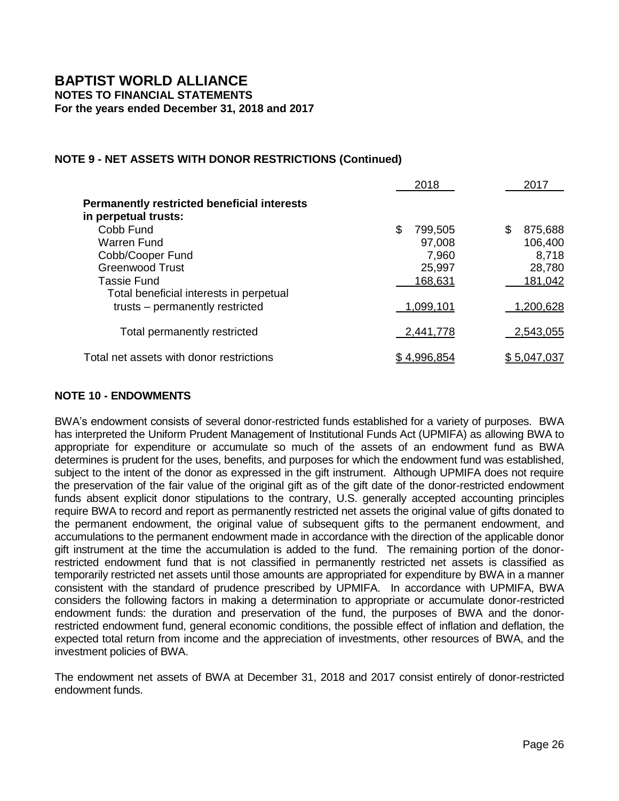**NOTES TO FINANCIAL STATEMENTS For the years ended December 31, 2018 and 2017**

# **NOTE 9 - NET ASSETS WITH DONOR RESTRICTIONS (Continued)**

|                                                                            | 2018          | 2017         |
|----------------------------------------------------------------------------|---------------|--------------|
| <b>Permanently restricted beneficial interests</b><br>in perpetual trusts: |               |              |
| Cobb Fund                                                                  | \$<br>799,505 | S<br>875,688 |
| Warren Fund                                                                | 97,008        | 106,400      |
| Cobb/Cooper Fund                                                           | 7,960         | 8,718        |
| <b>Greenwood Trust</b>                                                     | 25,997        | 28,780       |
| <b>Tassie Fund</b>                                                         | 168,631       | 181,042      |
| Total beneficial interests in perpetual                                    |               |              |
| trusts - permanently restricted                                            | 1,099,101     | 1,200,628    |
| Total permanently restricted                                               | 2,441,778     | 2,543,055    |
| Total net assets with donor restrictions                                   | \$ 4,996,854  | \$5,047,037  |

# **NOTE 10 - ENDOWMENTS**

BWA's endowment consists of several donor-restricted funds established for a variety of purposes. BWA has interpreted the Uniform Prudent Management of Institutional Funds Act (UPMIFA) as allowing BWA to appropriate for expenditure or accumulate so much of the assets of an endowment fund as BWA determines is prudent for the uses, benefits, and purposes for which the endowment fund was established, subject to the intent of the donor as expressed in the gift instrument. Although UPMIFA does not require the preservation of the fair value of the original gift as of the gift date of the donor-restricted endowment funds absent explicit donor stipulations to the contrary, U.S. generally accepted accounting principles require BWA to record and report as permanently restricted net assets the original value of gifts donated to the permanent endowment, the original value of subsequent gifts to the permanent endowment, and accumulations to the permanent endowment made in accordance with the direction of the applicable donor gift instrument at the time the accumulation is added to the fund. The remaining portion of the donorrestricted endowment fund that is not classified in permanently restricted net assets is classified as temporarily restricted net assets until those amounts are appropriated for expenditure by BWA in a manner consistent with the standard of prudence prescribed by UPMIFA. In accordance with UPMIFA, BWA considers the following factors in making a determination to appropriate or accumulate donor-restricted endowment funds: the duration and preservation of the fund, the purposes of BWA and the donorrestricted endowment fund, general economic conditions, the possible effect of inflation and deflation, the expected total return from income and the appreciation of investments, other resources of BWA, and the investment policies of BWA.

The endowment net assets of BWA at December 31, 2018 and 2017 consist entirely of donor-restricted endowment funds.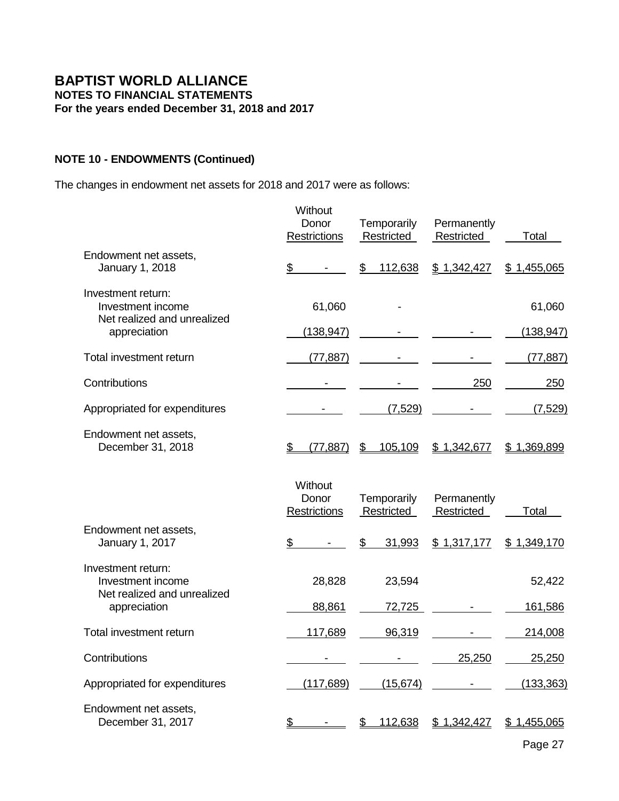# **NOTE 10 - ENDOWMENTS (Continued)**

The changes in endowment net assets for 2018 and 2017 were as follows:

|                                                                        | Without<br>Donor<br><b>Restrictions</b> | Temporarily<br>Restricted | Permanently<br>Restricted | Total       |
|------------------------------------------------------------------------|-----------------------------------------|---------------------------|---------------------------|-------------|
| Endowment net assets,<br>January 1, 2018                               | $\frac{1}{2}$                           | \$<br>112,638             | \$1,342,427               | \$1,455,065 |
| Investment return:<br>Investment income<br>Net realized and unrealized | 61,060                                  |                           |                           | 61,060      |
| appreciation                                                           | (138, 947)                              |                           |                           | (138, 947)  |
| Total investment return                                                | (77, 887)                               |                           |                           | (77, 887)   |
| Contributions                                                          |                                         |                           | 250                       | 250         |
| Appropriated for expenditures                                          |                                         | (7, 529)                  |                           | (7, 529)    |
| Endowment net assets,<br>December 31, 2018                             | \$<br>(77, 887)                         | 105,109<br>\$.            | \$1,342,677               | \$1,369,899 |
|                                                                        | Without<br>Donor<br><b>Restrictions</b> | Temporarily<br>Restricted | Permanently<br>Restricted | Total       |
| Endowment net assets,<br>January 1, 2017                               | \$                                      | 31,993<br>S               | \$1,317,177               | \$1,349,170 |
| Investment return:<br>Investment income<br>Net realized and unrealized | 28,828                                  | 23,594                    |                           | 52,422      |
| appreciation                                                           | 88,861                                  | 72,725                    |                           | 161,586     |
| Total investment return                                                | 117,689                                 | 96,319                    |                           | 214,008     |
| Contributions                                                          |                                         |                           | 25,250                    | 25,250      |
| Appropriated for expenditures                                          | (117, 689)                              | (15, 674)                 |                           | (133, 363)  |
| Endowment net assets,<br>December 31, 2017                             | $\mathbf{E}$                            | 112,638                   | \$1,342,427               | \$1,455,065 |

Page 27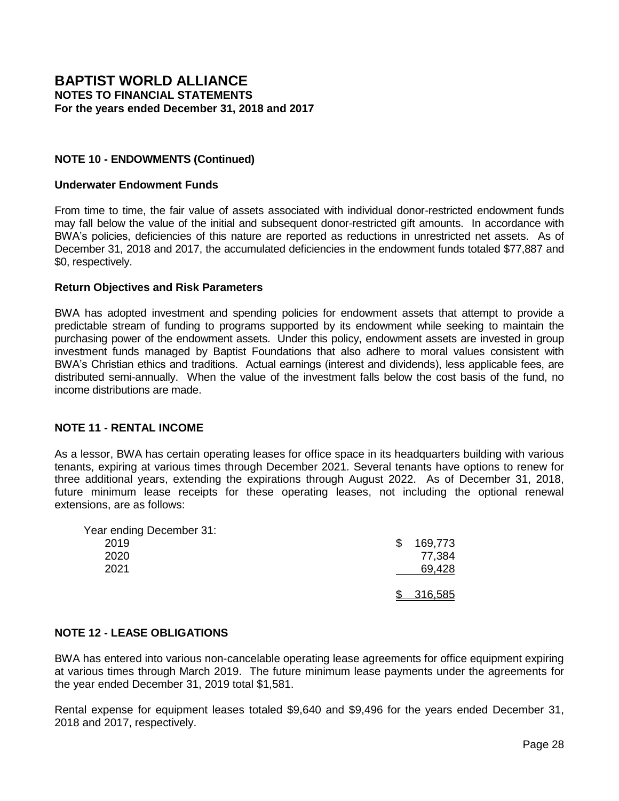## **NOTE 10 - ENDOWMENTS (Continued)**

#### **Underwater Endowment Funds**

From time to time, the fair value of assets associated with individual donor-restricted endowment funds may fall below the value of the initial and subsequent donor-restricted gift amounts. In accordance with BWA's policies, deficiencies of this nature are reported as reductions in unrestricted net assets. As of December 31, 2018 and 2017, the accumulated deficiencies in the endowment funds totaled \$77,887 and \$0, respectively.

#### **Return Objectives and Risk Parameters**

BWA has adopted investment and spending policies for endowment assets that attempt to provide a predictable stream of funding to programs supported by its endowment while seeking to maintain the purchasing power of the endowment assets. Under this policy, endowment assets are invested in group investment funds managed by Baptist Foundations that also adhere to moral values consistent with BWA's Christian ethics and traditions. Actual earnings (interest and dividends), less applicable fees, are distributed semi-annually. When the value of the investment falls below the cost basis of the fund, no income distributions are made.

## **NOTE 11 - RENTAL INCOME**

As a lessor, BWA has certain operating leases for office space in its headquarters building with various tenants, expiring at various times through December 2021. Several tenants have options to renew for three additional years, extending the expirations through August 2022. As of December 31, 2018, future minimum lease receipts for these operating leases, not including the optional renewal extensions, are as follows:

| Year ending December 31: |               |
|--------------------------|---------------|
| 2019                     | 169,773<br>£. |
| 2020                     | 77,384        |
| 2021                     | 69,428        |
|                          |               |
|                          | 316,585       |

#### **NOTE 12 - LEASE OBLIGATIONS**

BWA has entered into various non-cancelable operating lease agreements for office equipment expiring at various times through March 2019. The future minimum lease payments under the agreements for the year ended December 31, 2019 total \$1,581.

Rental expense for equipment leases totaled \$9,640 and \$9,496 for the years ended December 31, 2018 and 2017, respectively.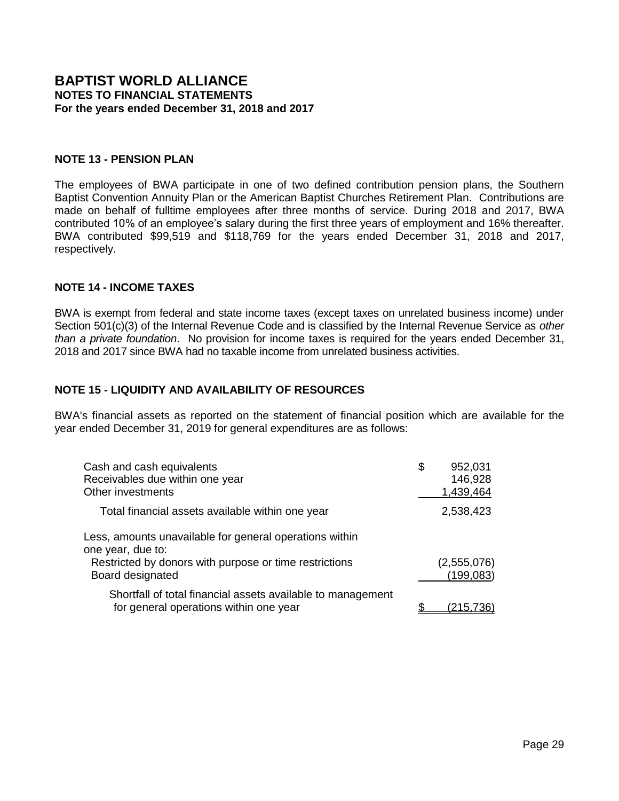#### **NOTE 13 - PENSION PLAN**

The employees of BWA participate in one of two defined contribution pension plans, the Southern Baptist Convention Annuity Plan or the American Baptist Churches Retirement Plan. Contributions are made on behalf of fulltime employees after three months of service. During 2018 and 2017, BWA contributed 10% of an employee's salary during the first three years of employment and 16% thereafter. BWA contributed \$99,519 and \$118,769 for the years ended December 31, 2018 and 2017, respectively.

#### **NOTE 14 - INCOME TAXES**

BWA is exempt from federal and state income taxes (except taxes on unrelated business income) under Section 501(c)(3) of the Internal Revenue Code and is classified by the Internal Revenue Service as *other than a private foundation*. No provision for income taxes is required for the years ended December 31, 2018 and 2017 since BWA had no taxable income from unrelated business activities.

#### **NOTE 15 - LIQUIDITY AND AVAILABILITY OF RESOURCES**

BWA's financial assets as reported on the statement of financial position which are available for the year ended December 31, 2019 for general expenditures are as follows:

| Cash and cash equivalents<br>Receivables due within one year<br>Other investments                     | \$<br>952,031<br>146,928<br>1,439,464 |
|-------------------------------------------------------------------------------------------------------|---------------------------------------|
| Total financial assets available within one year                                                      | 2,538,423                             |
| Less, amounts unavailable for general operations within<br>one year, due to:                          |                                       |
| Restricted by donors with purpose or time restrictions<br>Board designated                            | (2,555,076)<br>(199,083)              |
| Shortfall of total financial assets available to management<br>for general operations within one year | (215.736)                             |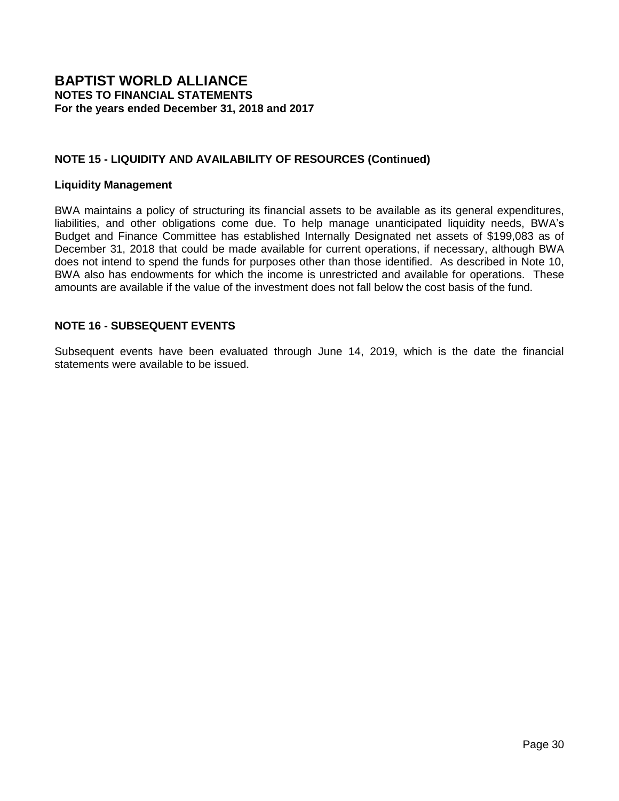# **NOTE 15 - LIQUIDITY AND AVAILABILITY OF RESOURCES (Continued)**

#### **Liquidity Management**

BWA maintains a policy of structuring its financial assets to be available as its general expenditures, liabilities, and other obligations come due. To help manage unanticipated liquidity needs, BWA's Budget and Finance Committee has established Internally Designated net assets of \$199,083 as of December 31, 2018 that could be made available for current operations, if necessary, although BWA does not intend to spend the funds for purposes other than those identified. As described in Note 10, BWA also has endowments for which the income is unrestricted and available for operations. These amounts are available if the value of the investment does not fall below the cost basis of the fund.

## **NOTE 16 - SUBSEQUENT EVENTS**

Subsequent events have been evaluated through June 14, 2019, which is the date the financial statements were available to be issued.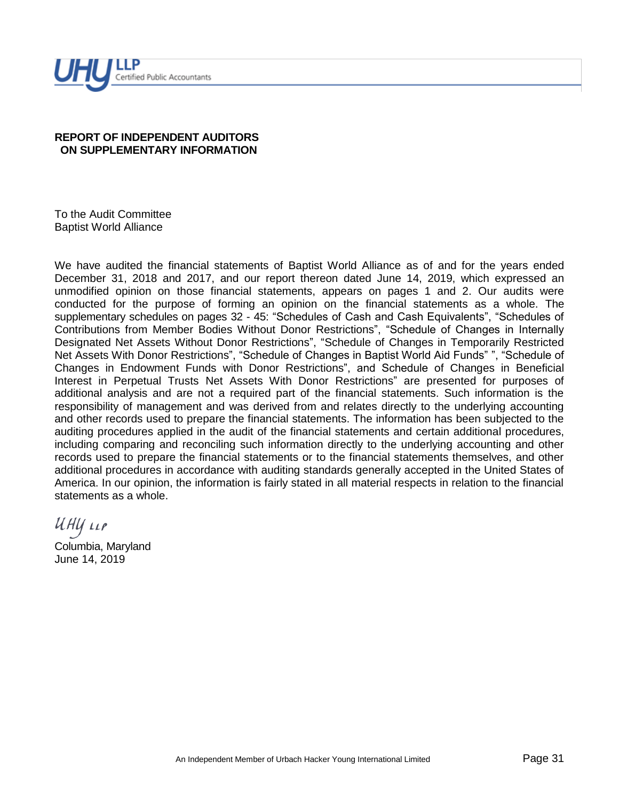

# **REPORT OF INDEPENDENT AUDITORS ON SUPPLEMENTARY INFORMATION**

To the Audit Committee Baptist World Alliance

We have audited the financial statements of Baptist World Alliance as of and for the years ended December 31, 2018 and 2017, and our report thereon dated June 14, 2019, which expressed an unmodified opinion on those financial statements, appears on pages 1 and 2. Our audits were conducted for the purpose of forming an opinion on the financial statements as a whole. The supplementary schedules on pages 32 - 45: "Schedules of Cash and Cash Equivalents", "Schedules of Contributions from Member Bodies Without Donor Restrictions", "Schedule of Changes in Internally Designated Net Assets Without Donor Restrictions", "Schedule of Changes in Temporarily Restricted Net Assets With Donor Restrictions", "Schedule of Changes in Baptist World Aid Funds" ", "Schedule of Changes in Endowment Funds with Donor Restrictions", and Schedule of Changes in Beneficial Interest in Perpetual Trusts Net Assets With Donor Restrictions" are presented for purposes of additional analysis and are not a required part of the financial statements. Such information is the responsibility of management and was derived from and relates directly to the underlying accounting and other records used to prepare the financial statements. The information has been subjected to the auditing procedures applied in the audit of the financial statements and certain additional procedures, including comparing and reconciling such information directly to the underlying accounting and other records used to prepare the financial statements or to the financial statements themselves, and other additional procedures in accordance with auditing standards generally accepted in the United States of America. In our opinion, the information is fairly stated in all material respects in relation to the financial statements as a whole.

UHY LLP

Columbia, Maryland June 14, 2019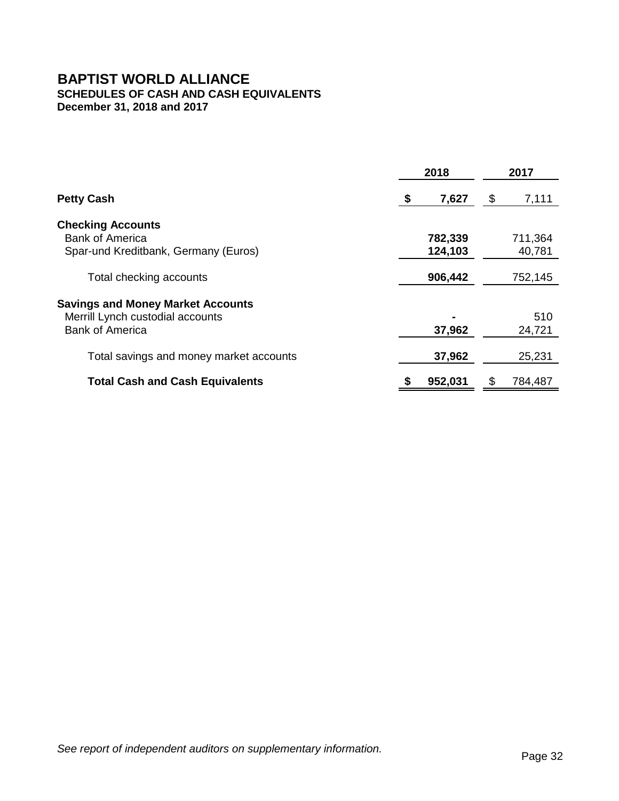# **SCHEDULES OF CASH AND CASH EQUIVALENTS**

**December 31, 2018 and 2017**

|                                          |    | 2018    |    | 2017    |
|------------------------------------------|----|---------|----|---------|
| <b>Petty Cash</b>                        | \$ | 7,627   | \$ | 7,111   |
| <b>Checking Accounts</b>                 |    |         |    |         |
| <b>Bank of America</b>                   |    | 782,339 |    | 711,364 |
| Spar-und Kreditbank, Germany (Euros)     |    | 124,103 |    | 40,781  |
| Total checking accounts                  |    | 906,442 |    | 752,145 |
| <b>Savings and Money Market Accounts</b> |    |         |    |         |
| Merrill Lynch custodial accounts         |    |         |    | 510     |
| <b>Bank of America</b>                   |    | 37,962  |    | 24,721  |
| Total savings and money market accounts  |    | 37,962  |    | 25,231  |
| <b>Total Cash and Cash Equivalents</b>   | P  | 952,031 |    | 784,487 |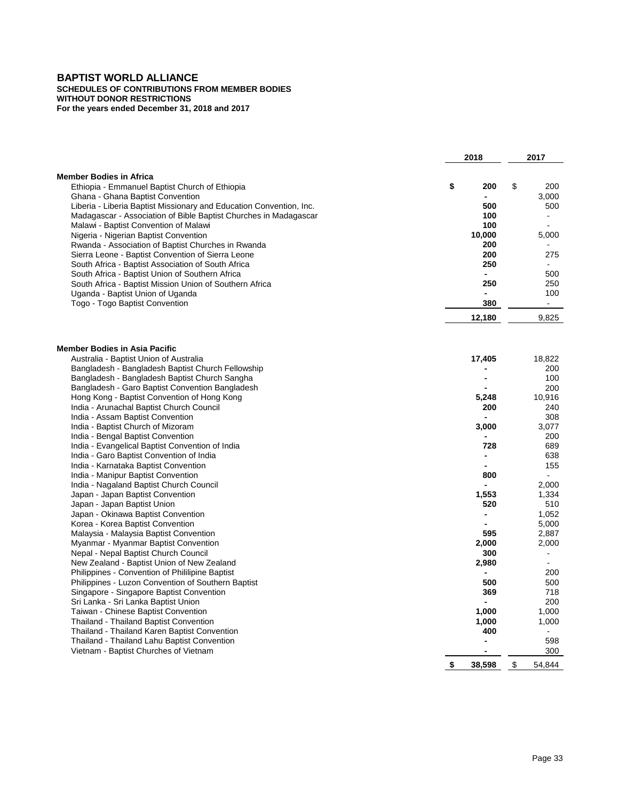#### **BAPTIST WORLD ALLIANCE SCHEDULES OF CONTRIBUTIONS FROM MEMBER BODIES WITHOUT DONOR RESTRICTIONS For the years ended December 31, 2018 and 2017**

|                                                                                                                                         | 2018 |                                  | 2017 |                |
|-----------------------------------------------------------------------------------------------------------------------------------------|------|----------------------------------|------|----------------|
|                                                                                                                                         |      |                                  |      |                |
| <b>Member Bodies in Africa</b>                                                                                                          |      |                                  |      |                |
| Ethiopia - Emmanuel Baptist Church of Ethiopia                                                                                          | \$   | 200                              | \$   | 200            |
| Ghana - Ghana Baptist Convention                                                                                                        |      | 500                              |      | 3.000<br>500   |
| Liberia - Liberia Baptist Missionary and Education Convention, Inc.<br>Madagascar - Association of Bible Baptist Churches in Madagascar |      | 100                              |      |                |
| Malawi - Baptist Convention of Malawi                                                                                                   |      | 100                              |      |                |
| Nigeria - Nigerian Baptist Convention                                                                                                   |      | 10,000                           |      | 5,000          |
| Rwanda - Association of Baptist Churches in Rwanda                                                                                      |      | 200                              |      |                |
| Sierra Leone - Baptist Convention of Sierra Leone                                                                                       |      | 200                              |      | 275            |
| South Africa - Baptist Association of South Africa                                                                                      |      | 250                              |      |                |
| South Africa - Baptist Union of Southern Africa                                                                                         |      | $\blacksquare$                   |      | 500            |
| South Africa - Baptist Mission Union of Southern Africa                                                                                 |      | 250                              |      | 250            |
| Uganda - Baptist Union of Uganda                                                                                                        |      |                                  |      | 100            |
| Togo - Togo Baptist Convention                                                                                                          |      | 380                              |      | $\blacksquare$ |
|                                                                                                                                         |      |                                  |      |                |
|                                                                                                                                         |      | 12,180                           |      | 9.825          |
|                                                                                                                                         |      |                                  |      |                |
| <b>Member Bodies in Asia Pacific</b>                                                                                                    |      |                                  |      |                |
| Australia - Baptist Union of Australia                                                                                                  |      | 17,405                           |      | 18,822         |
| Bangladesh - Bangladesh Baptist Church Fellowship                                                                                       |      |                                  |      | 200            |
| Bangladesh - Bangladesh Baptist Church Sangha                                                                                           |      |                                  |      | 100            |
| Bangladesh - Garo Baptist Convention Bangladesh                                                                                         |      |                                  |      | 200            |
| Hong Kong - Baptist Convention of Hong Kong                                                                                             |      | 5,248                            |      | 10,916         |
| India - Arunachal Baptist Church Council                                                                                                |      | 200                              |      | 240            |
| India - Assam Baptist Convention                                                                                                        |      |                                  |      | 308            |
| India - Baptist Church of Mizoram                                                                                                       |      | 3,000                            |      | 3,077          |
| India - Bengal Baptist Convention                                                                                                       |      |                                  |      | 200            |
| India - Evangelical Baptist Convention of India                                                                                         |      | 728                              |      | 689            |
| India - Garo Baptist Convention of India                                                                                                |      |                                  |      | 638            |
| India - Karnataka Baptist Convention                                                                                                    |      |                                  |      | 155            |
| India - Manipur Baptist Convention                                                                                                      |      | 800                              |      | ä,             |
| India - Nagaland Baptist Church Council                                                                                                 |      |                                  |      | 2,000          |
| Japan - Japan Baptist Convention                                                                                                        |      | 1,553                            |      | 1,334          |
| Japan - Japan Baptist Union                                                                                                             |      | 520                              |      | 510            |
| Japan - Okinawa Baptist Convention                                                                                                      |      | $\overline{a}$                   |      | 1,052          |
| Korea - Korea Baptist Convention                                                                                                        |      |                                  |      | 5.000          |
| Malaysia - Malaysia Baptist Convention                                                                                                  |      | 595                              |      | 2,887          |
| Myanmar - Myanmar Baptist Convention                                                                                                    |      | 2,000                            |      | 2,000          |
| Nepal - Nepal Baptist Church Council                                                                                                    |      | 300                              |      | $\blacksquare$ |
| New Zealand - Baptist Union of New Zealand                                                                                              |      | 2,980                            |      | $\overline{a}$ |
| Philippines - Convention of Phililipine Baptist                                                                                         |      |                                  |      | 200            |
| Philippines - Luzon Convention of Southern Baptist                                                                                      |      | 500                              |      | 500            |
| Singapore - Singapore Baptist Convention                                                                                                |      | 369                              |      | 718            |
| Sri Lanka - Sri Lanka Baptist Union                                                                                                     |      |                                  |      | 200            |
| Taiwan - Chinese Baptist Convention                                                                                                     |      | 1,000                            |      | 1,000          |
| Thailand - Thailand Baptist Convention                                                                                                  |      | 1,000                            |      | 1,000          |
| Thailand - Thailand Karen Baptist Convention                                                                                            |      | 400                              |      |                |
| Thailand - Thailand Lahu Baptist Convention                                                                                             |      | $\blacksquare$<br>$\blacksquare$ |      | 598            |
| Vietnam - Baptist Churches of Vietnam                                                                                                   |      |                                  |      | 300            |
|                                                                                                                                         | \$   | 38,598                           | \$   | 54,844         |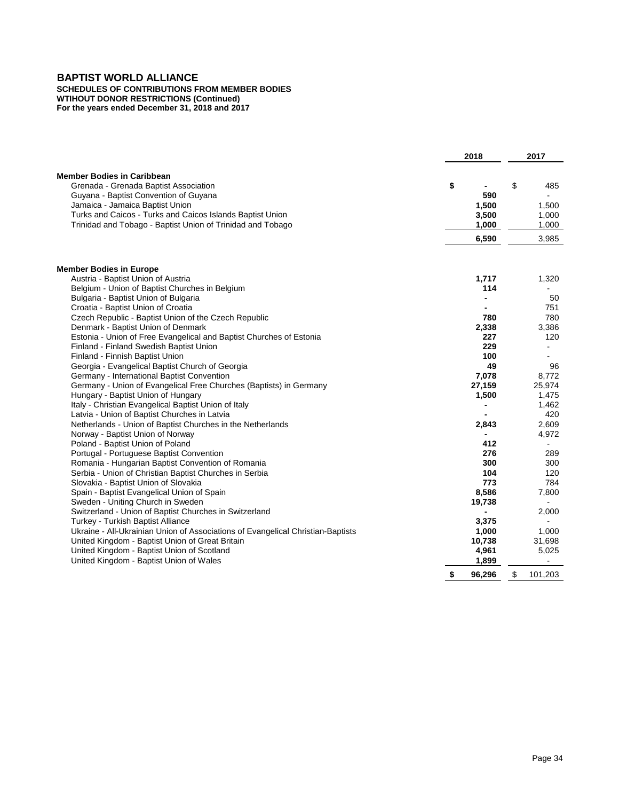#### **SCHEDULES OF CONTRIBUTIONS FROM MEMBER BODIES**

**WTIHOUT DONOR RESTRICTIONS (Continued) For the years ended December 31, 2018 and 2017**

|                                                                                 | 2018         | 2017           |
|---------------------------------------------------------------------------------|--------------|----------------|
| <b>Member Bodies in Caribbean</b>                                               |              |                |
| Grenada - Grenada Baptist Association                                           | \$           | \$<br>485      |
| Guyana - Baptist Convention of Guyana                                           | 590          |                |
| Jamaica - Jamaica Baptist Union                                                 | 1,500        | 1,500          |
| Turks and Caicos - Turks and Caicos Islands Baptist Union                       | 3,500        | 1,000          |
| Trinidad and Tobago - Baptist Union of Trinidad and Tobago                      | 1,000        | 1.000          |
|                                                                                 |              |                |
|                                                                                 | 6,590        | 3,985          |
| <b>Member Bodies in Europe</b>                                                  |              |                |
| Austria - Baptist Union of Austria                                              | 1,717        | 1,320          |
| Belgium - Union of Baptist Churches in Belgium                                  | 114          |                |
| Bulgaria - Baptist Union of Bulgaria                                            | ۰            | 50             |
| Croatia - Baptist Union of Croatia                                              |              | 751            |
| Czech Republic - Baptist Union of the Czech Republic                            | 780          | 780            |
| Denmark - Baptist Union of Denmark                                              | 2,338        | 3,386          |
| Estonia - Union of Free Evangelical and Baptist Churches of Estonia             | 227          | 120            |
| Finland - Finland Swedish Baptist Union                                         | 229          | $\blacksquare$ |
| Finland - Finnish Baptist Union                                                 | 100          | Ξ.             |
| Georgia - Evangelical Baptist Church of Georgia                                 | 49           | 96             |
| Germany - International Baptist Convention                                      | 7.078        | 8.772          |
| Germany - Union of Evangelical Free Churches (Baptists) in Germany              | 27,159       | 25,974         |
| Hungary - Baptist Union of Hungary                                              | 1,500        | 1,475          |
| Italy - Christian Evangelical Baptist Union of Italy                            |              | 1,462          |
| Latvia - Union of Baptist Churches in Latvia                                    |              | 420            |
| Netherlands - Union of Baptist Churches in the Netherlands                      | 2,843        | 2,609          |
| Norway - Baptist Union of Norway                                                |              | 4,972          |
| Poland - Baptist Union of Poland                                                | 412          |                |
| Portugal - Portuguese Baptist Convention                                        | 276          | 289            |
| Romania - Hungarian Baptist Convention of Romania                               | 300          | 300            |
| Serbia - Union of Christian Baptist Churches in Serbia                          | 104          | 120            |
| Slovakia - Baptist Union of Slovakia                                            | 773          | 784            |
| Spain - Baptist Evangelical Union of Spain                                      | 8,586        | 7,800          |
| Sweden - Uniting Church in Sweden                                               | 19,738       |                |
| Switzerland - Union of Baptist Churches in Switzerland                          |              | 2,000          |
| Turkey - Turkish Baptist Alliance                                               | 3,375        |                |
| Ukraine - All-Ukrainian Union of Associations of Evangelical Christian-Baptists | 1,000        | 1.000          |
| United Kingdom - Baptist Union of Great Britain                                 | 10,738       | 31,698         |
| United Kingdom - Baptist Union of Scotland                                      | 4,961        | 5,025          |
| United Kingdom - Baptist Union of Wales                                         | 1,899        | $\blacksquare$ |
|                                                                                 | \$<br>96,296 | \$<br>101,203  |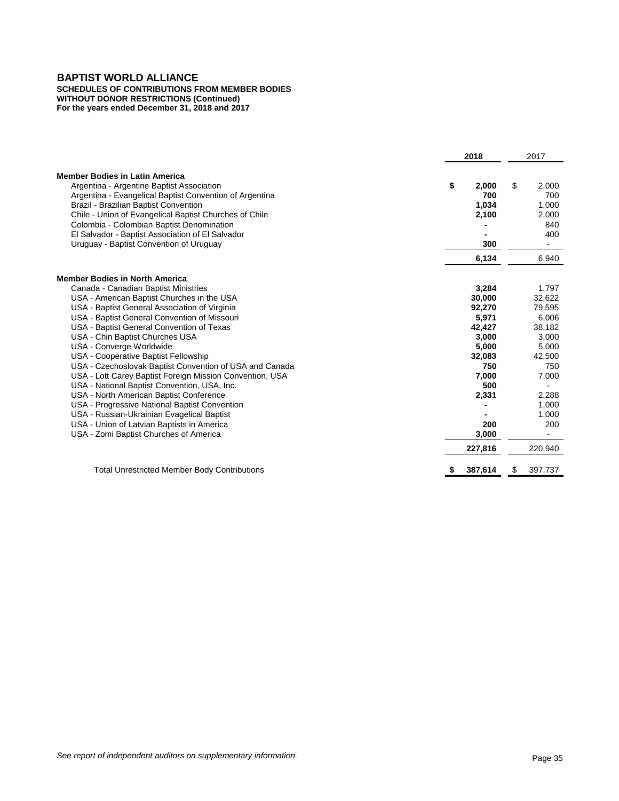#### **SCHEDULES OF CONTRIBUTIONS FROM MEMBER BODIES**

**WITHOUT DONOR RESTRICTIONS (Continued) For the years ended December 31, 2018 and 2017**

|                                                                                                                     | 2018               | 2017               |
|---------------------------------------------------------------------------------------------------------------------|--------------------|--------------------|
| <b>Member Bodies in Latin America</b>                                                                               |                    |                    |
| Argentina - Argentine Baptist Association<br>Argentina - Evangelical Baptist Convention of Argentina                | \$<br>2,000<br>700 | \$<br>2,000<br>700 |
| Brazil - Brazilian Baptist Convention<br>Chile - Union of Evangelical Baptist Churches of Chile                     | 1,034<br>2,100     | 1,000<br>2,000     |
| Colombia - Colombian Baptist Denomination<br>El Salvador - Baptist Association of El Salvador                       |                    | 840<br>400         |
| Uruguay - Baptist Convention of Uruguay                                                                             | 300<br>6,134       | 6,940              |
|                                                                                                                     |                    |                    |
| <b>Member Bodies in North America</b><br>Canada - Canadian Baptist Ministries                                       | 3,284              | 1,797              |
| USA - American Baptist Churches in the USA                                                                          | 30.000             | 32,622             |
| USA - Baptist General Association of Virginia<br>USA - Baptist General Convention of Missouri                       | 92,270<br>5,971    | 79,595<br>6,006    |
| USA - Baptist General Convention of Texas                                                                           | 42,427             | 38,182             |
| USA - Chin Baptist Churches USA<br>USA - Converge Worldwide                                                         | 3,000<br>5,000     | 3,000<br>5,000     |
| USA - Cooperative Baptist Fellowship                                                                                | 32,083             | 42,500             |
| USA - Czechoslovak Baptist Convention of USA and Canada<br>USA - Lott Carey Baptist Foreign Mission Convention, USA | 750<br>7,000       | 750<br>7,000       |
| USA - National Baptist Convention, USA, Inc.<br>USA - North American Baptist Conference                             | 500<br>2,331       | 2,288              |
| USA - Progressive National Baptist Convention                                                                       |                    | 1,000              |
| USA - Russian-Ukrainian Evagelical Baptist<br>USA - Union of Latvian Baptists in America                            | 200                | 1,000<br>200       |
| USA - Zomi Baptist Churches of America                                                                              | 3,000              |                    |
|                                                                                                                     | 227,816            | 220,940            |
| <b>Total Unrestricted Member Body Contributions</b>                                                                 | 387,614            | \$<br>397,737      |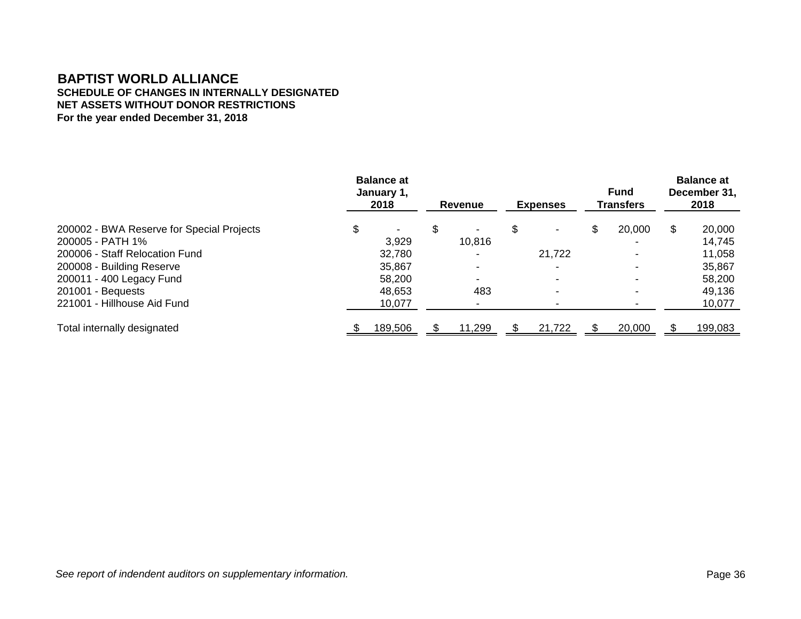**NET ASSETS WITHOUT DONOR RESTRICTIONS For the year ended December 31, 2018 SCHEDULE OF CHANGES IN INTERNALLY DESIGNATED** 

|                                           | <b>Balance at</b><br>January 1,<br>2018 |         | <b>Expenses</b><br><b>Revenue</b> |                          |    |        | <b>Fund</b><br>Transfers |                          | <b>Balance at</b><br>December 31,<br>2018 |         |
|-------------------------------------------|-----------------------------------------|---------|-----------------------------------|--------------------------|----|--------|--------------------------|--------------------------|-------------------------------------------|---------|
| 200002 - BWA Reserve for Special Projects | \$                                      | ۰       | \$                                |                          | \$ |        | S                        | 20,000                   | S                                         | 20,000  |
| 200005 - PATH 1%                          |                                         | 3,929   |                                   | 10,816                   |    |        |                          | -                        |                                           | 14,745  |
| 200006 - Staff Relocation Fund            |                                         | 32,780  |                                   |                          |    | 21,722 |                          | $\blacksquare$           |                                           | 11,058  |
| 200008 - Building Reserve                 |                                         | 35,867  |                                   |                          |    |        |                          | $\overline{\phantom{0}}$ |                                           | 35,867  |
| 200011 - 400 Legacy Fund                  |                                         | 58,200  |                                   | $\overline{\phantom{0}}$ |    |        |                          | $\blacksquare$           |                                           | 58,200  |
| 201001 - Bequests                         |                                         | 48,653  |                                   | 483                      |    |        |                          | $\overline{\phantom{0}}$ |                                           | 49,136  |
| 221001 - Hillhouse Aid Fund               |                                         | 10,077  |                                   |                          |    |        |                          |                          |                                           | 10,077  |
| Total internally designated               |                                         | 189,506 |                                   | 11,299                   |    | 21,722 |                          | 20,000                   |                                           | 199,083 |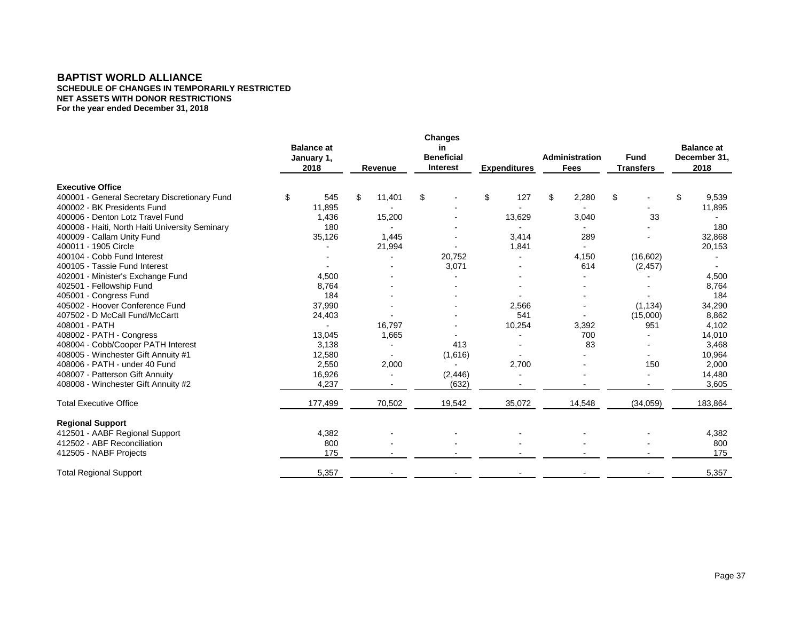**NET ASSETS WITH DONOR RESTRICTIONS SCHEDULE OF CHANGES IN TEMPORARILY RESTRICTED For the year ended December 31, 2018**

|                                                 |    |         | <b>Balance at</b><br>January 1,<br>2018 |        |    | Revenue  | <b>Changes</b><br>in<br><b>Beneficial</b><br>Interest |                | <b>Expenditures</b> |                | Administration<br><b>Fees</b> |          | <b>Fund</b><br><b>Transfers</b> |         | <b>Balance at</b><br>December 31,<br>2018 |  |
|-------------------------------------------------|----|---------|-----------------------------------------|--------|----|----------|-------------------------------------------------------|----------------|---------------------|----------------|-------------------------------|----------|---------------------------------|---------|-------------------------------------------|--|
| <b>Executive Office</b>                         |    |         |                                         |        |    |          |                                                       |                |                     |                |                               |          |                                 |         |                                           |  |
| 400001 - General Secretary Discretionary Fund   | \$ | 545     | \$                                      | 11,401 | \$ |          | \$                                                    | 127            | \$                  | 2,280          | \$                            |          | \$                              | 9,539   |                                           |  |
| 400002 - BK Presidents Fund                     |    | 11,895  |                                         |        |    |          |                                                       |                |                     |                |                               |          |                                 | 11,895  |                                           |  |
| 400006 - Denton Lotz Travel Fund                |    | 1,436   |                                         | 15,200 |    |          |                                                       | 13,629         |                     | 3,040          |                               | 33       |                                 |         |                                           |  |
| 400008 - Haiti, North Haiti University Seminary |    | 180     |                                         |        |    |          |                                                       |                |                     |                |                               |          |                                 | 180     |                                           |  |
| 400009 - Callam Unity Fund                      |    | 35,126  |                                         | 1,445  |    |          |                                                       | 3,414          |                     | 289            |                               |          |                                 | 32,868  |                                           |  |
| 400011 - 1905 Circle                            |    |         |                                         | 21,994 |    |          |                                                       | 1,841          |                     | $\blacksquare$ |                               |          |                                 | 20,153  |                                           |  |
| 400104 - Cobb Fund Interest                     |    |         |                                         |        |    | 20,752   |                                                       | $\blacksquare$ |                     | 4,150          |                               | (16,602) |                                 |         |                                           |  |
| 400105 - Tassie Fund Interest                   |    |         |                                         |        |    | 3,071    |                                                       |                |                     | 614            |                               | (2, 457) |                                 |         |                                           |  |
| 402001 - Minister's Exchange Fund               |    | 4,500   |                                         |        |    |          |                                                       |                |                     |                |                               |          |                                 | 4,500   |                                           |  |
| 402501 - Fellowship Fund                        |    | 8,764   |                                         |        |    |          |                                                       |                |                     |                |                               |          |                                 | 8,764   |                                           |  |
| 405001 - Congress Fund                          |    | 184     |                                         |        |    |          |                                                       |                |                     |                |                               |          |                                 | 184     |                                           |  |
| 405002 - Hoover Conference Fund                 |    | 37,990  |                                         |        |    |          |                                                       | 2,566          |                     |                |                               | (1, 134) |                                 | 34,290  |                                           |  |
| 407502 - D McCall Fund/McCartt                  |    | 24,403  |                                         |        |    |          |                                                       | 541            |                     |                |                               | (15,000) |                                 | 8,862   |                                           |  |
| 408001 - PATH                                   |    |         |                                         | 16,797 |    |          |                                                       | 10,254         |                     | 3,392          |                               | 951      |                                 | 4,102   |                                           |  |
| 408002 - PATH - Congress                        |    | 13,045  |                                         | 1,665  |    |          |                                                       |                |                     | 700            |                               |          |                                 | 14,010  |                                           |  |
| 408004 - Cobb/Cooper PATH Interest              |    | 3,138   |                                         |        |    | 413      |                                                       |                |                     | 83             |                               |          |                                 | 3,468   |                                           |  |
| 408005 - Winchester Gift Annuity #1             |    | 12,580  |                                         |        |    | (1,616)  |                                                       |                |                     |                |                               |          |                                 | 10,964  |                                           |  |
| 408006 - PATH - under 40 Fund                   |    | 2,550   |                                         | 2,000  |    |          |                                                       | 2,700          |                     |                |                               | 150      |                                 | 2,000   |                                           |  |
| 408007 - Patterson Gift Annuity                 |    | 16,926  |                                         |        |    | (2, 446) |                                                       |                |                     |                |                               |          |                                 | 14,480  |                                           |  |
| 408008 - Winchester Gift Annuity #2             |    | 4,237   |                                         |        |    | (632)    |                                                       |                |                     |                |                               |          |                                 | 3,605   |                                           |  |
| <b>Total Executive Office</b>                   |    | 177,499 |                                         | 70,502 |    | 19,542   |                                                       | 35,072         |                     | 14,548         |                               | (34,059) |                                 | 183,864 |                                           |  |
| <b>Regional Support</b>                         |    |         |                                         |        |    |          |                                                       |                |                     |                |                               |          |                                 |         |                                           |  |
| 412501 - AABF Regional Support                  |    | 4,382   |                                         |        |    |          |                                                       |                |                     |                |                               |          |                                 | 4,382   |                                           |  |
| 412502 - ABF Reconciliation                     |    | 800     |                                         |        |    |          |                                                       |                |                     |                |                               |          |                                 | 800     |                                           |  |
| 412505 - NABF Projects                          |    | 175     |                                         |        |    |          |                                                       |                |                     |                |                               |          |                                 | 175     |                                           |  |
| <b>Total Regional Support</b>                   |    | 5,357   |                                         |        |    |          |                                                       |                |                     |                |                               |          |                                 | 5,357   |                                           |  |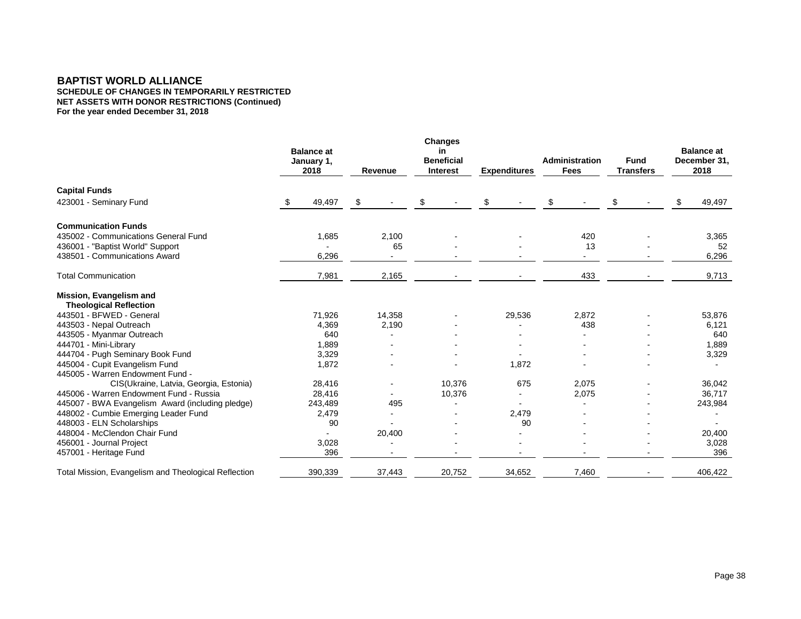**NET ASSETS WITH DONOR RESTRICTIONS (Continued) For the year ended December 31, 2018 SCHEDULE OF CHANGES IN TEMPORARILY RESTRICTED** 

|                                                          |     | <b>Balance</b> at<br>January 1,<br>2018 |    | Revenue                  |    | <b>Changes</b><br>in<br><b>Beneficial</b><br><b>Interest</b><br><b>Expenditures</b> |    | Administration<br><b>Fees</b> |    | <b>Fund</b><br><b>Transfers</b> |    | <b>Balance at</b><br>December 31,<br>2018 |              |
|----------------------------------------------------------|-----|-----------------------------------------|----|--------------------------|----|-------------------------------------------------------------------------------------|----|-------------------------------|----|---------------------------------|----|-------------------------------------------|--------------|
| <b>Capital Funds</b>                                     |     |                                         |    |                          |    |                                                                                     |    |                               |    |                                 |    |                                           |              |
| 423001 - Seminary Fund                                   | -SS | 49,497                                  | \$ |                          | \$ |                                                                                     | \$ |                               | \$ |                                 | \$ |                                           | \$<br>49,497 |
| <b>Communication Funds</b>                               |     |                                         |    |                          |    |                                                                                     |    |                               |    |                                 |    |                                           |              |
| 435002 - Communications General Fund                     |     | 1,685                                   |    | 2,100                    |    |                                                                                     |    |                               |    | 420                             |    |                                           | 3,365        |
| 436001 - "Baptist World" Support                         |     |                                         |    | 65                       |    |                                                                                     |    |                               |    | 13                              |    |                                           | 52           |
| 438501 - Communications Award                            |     | 6,296                                   |    | $\overline{\phantom{a}}$ |    |                                                                                     |    |                               |    | $\blacksquare$                  |    |                                           | 6,296        |
| <b>Total Communication</b>                               |     | 7,981                                   |    | 2,165                    |    |                                                                                     |    |                               |    | 433                             |    |                                           | 9,713        |
| Mission, Evangelism and<br><b>Theological Reflection</b> |     |                                         |    |                          |    |                                                                                     |    |                               |    |                                 |    |                                           |              |
| 443501 - BFWED - General                                 |     | 71,926                                  |    | 14,358                   |    |                                                                                     |    | 29,536                        |    | 2,872                           |    |                                           | 53,876       |
| 443503 - Nepal Outreach                                  |     | 4,369                                   |    | 2,190                    |    |                                                                                     |    |                               |    | 438                             |    |                                           | 6,121        |
| 443505 - Myanmar Outreach                                |     | 640                                     |    |                          |    |                                                                                     |    |                               |    |                                 |    |                                           | 640          |
| 444701 - Mini-Library                                    |     | 1,889                                   |    |                          |    |                                                                                     |    |                               |    |                                 |    |                                           | 1,889        |
| 444704 - Pugh Seminary Book Fund                         |     | 3,329                                   |    |                          |    |                                                                                     |    |                               |    |                                 |    |                                           | 3,329        |
| 445004 - Cupit Evangelism Fund                           |     | 1,872                                   |    |                          |    |                                                                                     |    | 1,872                         |    |                                 |    |                                           |              |
| 445005 - Warren Endowment Fund -                         |     |                                         |    |                          |    |                                                                                     |    |                               |    |                                 |    |                                           |              |
| CIS(Ukraine, Latvia, Georgia, Estonia)                   |     | 28,416                                  |    |                          |    | 10.376                                                                              |    | 675                           |    | 2,075                           |    |                                           | 36,042       |
| 445006 - Warren Endowment Fund - Russia                  |     | 28,416                                  |    |                          |    | 10,376                                                                              |    |                               |    | 2,075                           |    |                                           | 36,717       |
| 445007 - BWA Evangelism Award (including pledge)         |     | 243,489                                 |    | 495                      |    | $\overline{a}$                                                                      |    |                               |    |                                 |    |                                           | 243,984      |
| 448002 - Cumbie Emerging Leader Fund                     |     | 2,479                                   |    |                          |    |                                                                                     |    | 2,479                         |    |                                 |    |                                           |              |
| 448003 - ELN Scholarships                                |     | 90                                      |    |                          |    |                                                                                     |    | 90                            |    |                                 |    |                                           |              |
| 448004 - McClendon Chair Fund                            |     |                                         |    | 20,400                   |    |                                                                                     |    |                               |    |                                 |    |                                           | 20,400       |
| 456001 - Journal Project                                 |     | 3,028                                   |    |                          |    |                                                                                     |    |                               |    |                                 |    |                                           | 3,028        |
| 457001 - Heritage Fund                                   |     | 396                                     |    |                          |    |                                                                                     |    |                               |    |                                 |    |                                           | 396          |
| Total Mission, Evangelism and Theological Reflection     |     | 390,339                                 |    | 37,443                   |    | 20,752                                                                              |    | 34,652                        |    | 7,460                           |    |                                           | 406,422      |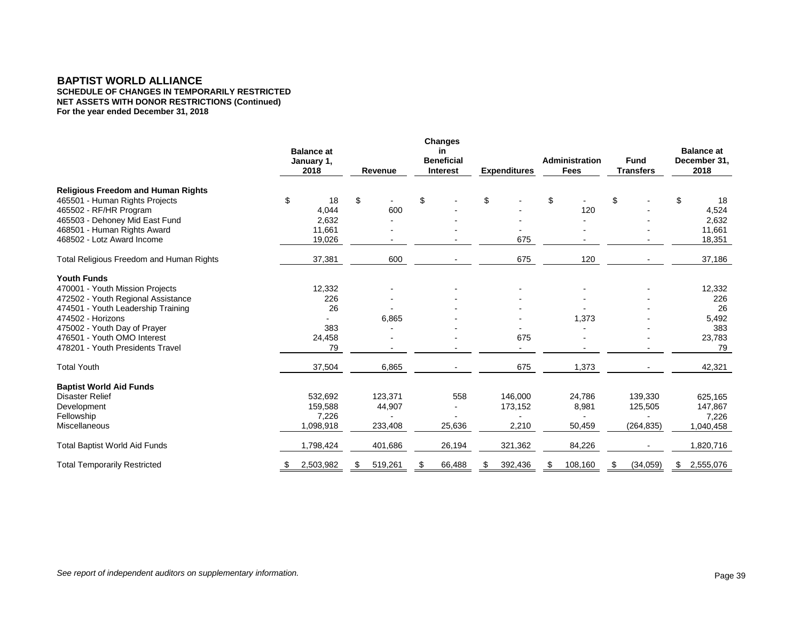**NET ASSETS WITH DONOR RESTRICTIONS (Continued) For the year ended December 31, 2018 SCHEDULE OF CHANGES IN TEMPORARILY RESTRICTED** 

|                                                 |    | <b>Balance</b> at<br>January 1,<br>2018 | Revenue |         | <b>Changes</b><br>in<br><b>Beneficial</b><br>Interest |        | <b>Expenditures</b> |         | <b>Administration</b><br><b>Fees</b> | <b>Fund</b><br><b>Transfers</b> |            | <b>Balance at</b><br>December 31,<br>2018 |
|-------------------------------------------------|----|-----------------------------------------|---------|---------|-------------------------------------------------------|--------|---------------------|---------|--------------------------------------|---------------------------------|------------|-------------------------------------------|
| <b>Religious Freedom and Human Rights</b>       |    |                                         |         |         |                                                       |        |                     |         |                                      |                                 |            |                                           |
| 465501 - Human Rights Projects                  | \$ | 18                                      | \$      |         | \$                                                    |        | \$                  |         | \$                                   | \$                              |            | \$<br>18                                  |
| 465502 - RF/HR Program                          |    | 4,044                                   |         | 600     |                                                       |        |                     |         | 120                                  |                                 |            | 4,524                                     |
| 465503 - Dehoney Mid East Fund                  |    | 2,632                                   |         |         |                                                       |        |                     |         |                                      |                                 |            | 2,632                                     |
| 468501 - Human Rights Award                     |    | 11,661                                  |         |         |                                                       |        |                     |         |                                      |                                 |            | 11,661                                    |
| 468502 - Lotz Award Income                      |    | 19,026                                  |         |         |                                                       |        |                     | 675     |                                      |                                 |            | 18,351                                    |
| <b>Total Religious Freedom and Human Rights</b> |    | 37,381                                  |         | 600     |                                                       |        |                     | 675     | 120                                  |                                 |            | 37,186                                    |
| <b>Youth Funds</b>                              |    |                                         |         |         |                                                       |        |                     |         |                                      |                                 |            |                                           |
| 470001 - Youth Mission Projects                 |    | 12,332                                  |         |         |                                                       |        |                     |         |                                      |                                 |            | 12,332                                    |
| 472502 - Youth Regional Assistance              |    | 226                                     |         |         |                                                       |        |                     |         |                                      |                                 |            | 226                                       |
| 474501 - Youth Leadership Training              |    | 26                                      |         |         |                                                       |        |                     |         |                                      |                                 |            | 26                                        |
| 474502 - Horizons                               |    |                                         |         | 6,865   |                                                       |        |                     |         | 1,373                                |                                 |            | 5,492                                     |
| 475002 - Youth Day of Prayer                    |    | 383                                     |         |         |                                                       |        |                     |         |                                      |                                 |            | 383                                       |
| 476501 - Youth OMO Interest                     |    | 24,458                                  |         |         |                                                       |        |                     | 675     |                                      |                                 |            | 23,783                                    |
| 478201 - Youth Presidents Travel                |    | 79                                      |         |         |                                                       |        |                     |         |                                      |                                 |            | 79                                        |
| <b>Total Youth</b>                              |    | 37,504                                  |         | 6,865   |                                                       |        |                     | 675     | 1,373                                |                                 |            | 42,321                                    |
| <b>Baptist World Aid Funds</b>                  |    |                                         |         |         |                                                       |        |                     |         |                                      |                                 |            |                                           |
| <b>Disaster Relief</b>                          |    | 532,692                                 |         | 123,371 |                                                       | 558    |                     | 146,000 | 24,786                               |                                 | 139,330    | 625,165                                   |
| Development                                     |    | 159,588                                 |         | 44,907  |                                                       |        |                     | 173,152 | 8,981                                |                                 | 125,505    | 147,867                                   |
| Fellowship                                      |    | 7,226                                   |         |         |                                                       |        |                     |         |                                      |                                 |            | 7,226                                     |
| Miscellaneous                                   |    | 1,098,918                               |         | 233,408 |                                                       | 25,636 |                     | 2,210   | 50,459                               |                                 | (264, 835) | 1,040,458                                 |
| <b>Total Baptist World Aid Funds</b>            |    | 1,798,424                               |         | 401,686 |                                                       | 26,194 |                     | 321,362 | 84,226                               |                                 |            | 1,820,716                                 |
| <b>Total Temporarily Restricted</b>             | -5 | 2,503,982                               |         | 519,261 |                                                       | 66,488 | \$                  | 392,436 | \$<br>108,160                        | \$                              | (34,059)   | \$<br>2,555,076                           |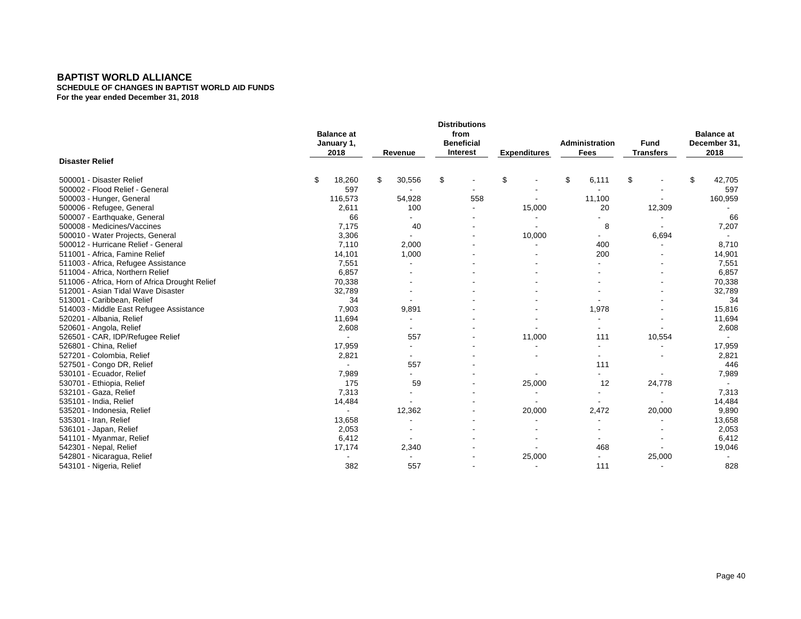**SCHEDULE OF CHANGES IN BAPTIST WORLD AID FUNDS For the year ended December 31, 2018**

|                                                | <b>Balance</b> at<br>January 1,<br>2018 | <b>Distributions</b><br>from<br><b>Beneficial</b><br><b>Interest</b><br>Revenue |                          | <b>Expenditures</b> | Administration<br>Fees   |    | <b>Fund</b><br><b>Transfers</b> |    | <b>Balance</b> at<br>December 31,<br>2018 |    |         |
|------------------------------------------------|-----------------------------------------|---------------------------------------------------------------------------------|--------------------------|---------------------|--------------------------|----|---------------------------------|----|-------------------------------------------|----|---------|
| <b>Disaster Relief</b>                         |                                         |                                                                                 |                          |                     |                          |    |                                 |    |                                           |    |         |
| 500001 - Disaster Relief                       | \$<br>18,260                            | \$                                                                              | 30,556                   | \$                  | \$                       | \$ | 6,111                           | \$ |                                           | \$ | 42,705  |
| 500002 - Flood Relief - General                | 597                                     |                                                                                 |                          |                     |                          |    | $\overline{\phantom{a}}$        |    |                                           |    | 597     |
| 500003 - Hunger, General                       | 116,573                                 |                                                                                 | 54,928                   | 558                 |                          |    | 11,100                          |    |                                           |    | 160,959 |
| 500006 - Refugee, General                      | 2,611                                   |                                                                                 | 100                      |                     | 15,000                   |    | 20                              |    | 12,309                                    |    |         |
| 500007 - Earthquake, General                   | 66                                      |                                                                                 |                          |                     |                          |    |                                 |    |                                           |    | 66      |
| 500008 - Medicines/Vaccines                    | 7,175                                   |                                                                                 | 40                       |                     |                          |    | 8                               |    |                                           |    | 7,207   |
| 500010 - Water Projects, General               | 3,306                                   |                                                                                 |                          |                     | 10,000                   |    | $\overline{\phantom{a}}$        |    | 6,694                                     |    | $\sim$  |
| 500012 - Hurricane Relief - General            | 7,110                                   |                                                                                 | 2,000                    |                     |                          |    | 400                             |    |                                           |    | 8,710   |
| 511001 - Africa, Famine Relief                 | 14,101                                  |                                                                                 | 1,000                    |                     |                          |    | 200                             |    |                                           |    | 14,901  |
| 511003 - Africa, Refugee Assistance            | 7,551                                   |                                                                                 | $\overline{\phantom{a}}$ |                     |                          |    | $\overline{\phantom{a}}$        |    |                                           |    | 7,551   |
| 511004 - Africa, Northern Relief               | 6,857                                   |                                                                                 |                          |                     |                          |    |                                 |    |                                           |    | 6,857   |
| 511006 - Africa, Horn of Africa Drought Relief | 70,338                                  |                                                                                 |                          |                     |                          |    |                                 |    |                                           |    | 70,338  |
| 512001 - Asian Tidal Wave Disaster             | 32,789                                  |                                                                                 |                          |                     |                          |    |                                 |    |                                           |    | 32,789  |
| 513001 - Caribbean, Relief                     | 34                                      |                                                                                 |                          |                     |                          |    |                                 |    |                                           |    | 34      |
| 514003 - Middle East Refugee Assistance        | 7,903                                   |                                                                                 | 9,891                    |                     |                          |    | 1,978                           |    |                                           |    | 15,816  |
| 520201 - Albania, Relief                       | 11,694                                  |                                                                                 |                          |                     |                          |    |                                 |    |                                           |    | 11,694  |
| 520601 - Angola, Relief                        | 2,608                                   |                                                                                 | $\overline{\phantom{a}}$ |                     |                          |    | $\overline{\phantom{a}}$        |    |                                           |    | 2,608   |
| 526501 - CAR, IDP/Refugee Relief               | $\mathbf{r}$                            |                                                                                 | 557                      |                     | 11,000                   |    | 111                             |    | 10,554                                    |    | $\sim$  |
| 526801 - China, Relief                         | 17,959                                  |                                                                                 |                          |                     | $\blacksquare$           |    | $\overline{\phantom{a}}$        |    |                                           |    | 17,959  |
| 527201 - Colombia, Relief                      | 2,821                                   |                                                                                 | $\overline{\phantom{a}}$ |                     |                          |    | $\overline{\phantom{a}}$        |    |                                           |    | 2,821   |
| 527501 - Congo DR, Relief                      | $\overline{\phantom{a}}$                |                                                                                 | 557                      |                     |                          |    | 111                             |    |                                           |    | 446     |
| 530101 - Ecuador, Relief                       | 7,989                                   |                                                                                 |                          |                     |                          |    | $\overline{\phantom{a}}$        |    |                                           |    | 7,989   |
| 530701 - Ethiopia, Relief                      | 175                                     |                                                                                 | 59                       |                     | 25,000                   |    | 12                              |    | 24,778                                    |    | $\sim$  |
| 532101 - Gaza, Relief                          | 7,313                                   |                                                                                 |                          |                     |                          |    | $\overline{\phantom{a}}$        |    |                                           |    | 7,313   |
| 535101 - India, Relief                         | 14,484                                  |                                                                                 |                          |                     |                          |    | $\overline{\phantom{a}}$        |    |                                           |    | 14,484  |
| 535201 - Indonesia, Relief                     |                                         |                                                                                 | 12,362                   |                     | 20,000                   |    | 2,472                           |    | 20,000                                    |    | 9,890   |
| 535301 - Iran, Relief                          | 13,658                                  |                                                                                 |                          |                     |                          |    |                                 |    |                                           |    | 13,658  |
| 536101 - Japan, Relief                         | 2,053                                   |                                                                                 |                          |                     |                          |    |                                 |    |                                           |    | 2,053   |
| 541101 - Myanmar, Relief                       | 6,412                                   |                                                                                 |                          |                     |                          |    |                                 |    |                                           |    | 6,412   |
| 542301 - Nepal, Relief                         | 17,174                                  |                                                                                 | 2,340                    |                     |                          |    | 468                             |    |                                           |    | 19,046  |
| 542801 - Nicaragua, Relief                     |                                         |                                                                                 | $\overline{\phantom{a}}$ |                     | 25,000                   |    |                                 |    | 25,000                                    |    |         |
| 543101 - Nigeria, Relief                       | 382                                     |                                                                                 | 557                      |                     | $\overline{\phantom{a}}$ |    | 111                             |    |                                           |    | 828     |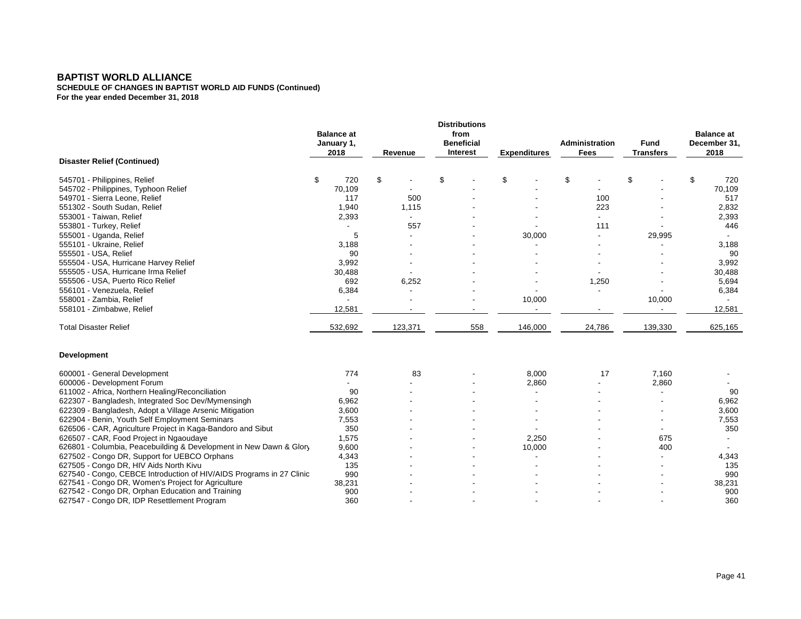**SCHEDULE OF CHANGES IN BAPTIST WORLD AID FUNDS (Continued) For the year ended December 31, 2018**

|                                                                      | <b>Balance at</b><br>January 1,<br>2018 | Revenue |         | <b>Distributions</b><br>from<br><b>Beneficial</b><br>Interest |     | <b>Expenditures</b> | Administration<br><b>Fees</b> | <b>Fund</b><br><b>Transfers</b> | <b>Balance at</b><br>December 31,<br>2018 |
|----------------------------------------------------------------------|-----------------------------------------|---------|---------|---------------------------------------------------------------|-----|---------------------|-------------------------------|---------------------------------|-------------------------------------------|
| <b>Disaster Relief (Continued)</b>                                   |                                         |         |         |                                                               |     |                     |                               |                                 |                                           |
| 545701 - Philippines, Relief                                         | \$<br>720                               | \$      |         | \$                                                            |     | \$                  | \$                            | \$                              | \$<br>720                                 |
| 545702 - Philippines, Typhoon Relief                                 | 70,109                                  |         |         |                                                               |     |                     |                               |                                 | 70,109                                    |
| 549701 - Sierra Leone, Relief                                        | 117                                     |         | 500     |                                                               |     |                     | 100                           |                                 | 517                                       |
| 551302 - South Sudan, Relief                                         | 1,940                                   |         | 1,115   |                                                               |     |                     | 223                           |                                 | 2,832                                     |
| 553001 - Taiwan, Relief                                              | 2,393                                   |         |         |                                                               |     |                     |                               |                                 | 2,393                                     |
| 553801 - Turkey, Relief                                              |                                         |         | 557     |                                                               |     |                     | 111                           |                                 | 446                                       |
| 555001 - Uganda, Relief                                              | 5                                       |         |         |                                                               |     | 30,000              |                               | 29,995                          | $\overline{\phantom{a}}$                  |
| 555101 - Ukraine, Relief                                             | 3,188                                   |         |         |                                                               |     |                     |                               |                                 | 3,188                                     |
| 555501 - USA, Relief                                                 | 90                                      |         |         |                                                               |     |                     |                               |                                 | 90                                        |
| 555504 - USA, Hurricane Harvey Relief                                | 3,992                                   |         |         |                                                               |     |                     |                               |                                 | 3,992                                     |
| 555505 - USA, Hurricane Irma Relief                                  | 30,488                                  |         |         |                                                               |     |                     |                               |                                 | 30,488                                    |
| 555506 - USA, Puerto Rico Relief                                     | 692                                     |         | 6,252   |                                                               |     |                     | 1,250                         |                                 | 5,694                                     |
| 556101 - Venezuela, Relief                                           | 6,384                                   |         |         |                                                               |     |                     |                               |                                 | 6,384                                     |
| 558001 - Zambia, Relief                                              |                                         |         |         |                                                               |     | 10,000              |                               | 10,000                          |                                           |
| 558101 - Zimbabwe, Relief                                            | 12,581                                  |         |         |                                                               |     |                     |                               |                                 | 12,581                                    |
| <b>Total Disaster Relief</b>                                         | 532,692                                 |         | 123,371 |                                                               | 558 | 146,000             | 24,786                        | 139,330                         | 625,165                                   |
| Development                                                          |                                         |         |         |                                                               |     |                     |                               |                                 |                                           |
| 600001 - General Development                                         | 774                                     |         | 83      |                                                               |     | 8,000               | 17                            | 7,160                           |                                           |
| 600006 - Development Forum                                           |                                         |         |         |                                                               |     | 2,860               |                               | 2,860                           |                                           |
| 611002 - Africa, Northern Healing/Reconciliation                     | 90                                      |         |         |                                                               |     |                     |                               |                                 | 90                                        |
| 622307 - Bangladesh, Integrated Soc Dev/Mymensingh                   | 6,962                                   |         |         |                                                               |     |                     |                               |                                 | 6,962                                     |
| 622309 - Bangladesh, Adopt a Village Arsenic Mitigation              | 3,600                                   |         |         |                                                               |     |                     |                               |                                 | 3,600                                     |
| 622904 - Benin, Youth Self Employment Seminars                       | 7,553                                   |         |         |                                                               |     |                     |                               |                                 | 7,553                                     |
| 626506 - CAR, Agriculture Project in Kaga-Bandoro and Sibut          | 350                                     |         |         |                                                               |     |                     |                               | $\overline{\phantom{0}}$        | 350                                       |
| 626507 - CAR, Food Project in Ngaoudaye                              | 1,575                                   |         |         |                                                               |     | 2,250               |                               | 675                             |                                           |
| 626801 - Columbia, Peacebuilding & Development in New Dawn & Glory   | 9,600                                   |         |         |                                                               |     | 10,000              |                               | 400                             |                                           |
| 627502 - Congo DR, Support for UEBCO Orphans                         | 4,343                                   |         |         |                                                               |     |                     |                               |                                 | 4,343                                     |
| 627505 - Congo DR, HIV Aids North Kivu                               | 135                                     |         |         |                                                               |     |                     |                               |                                 | 135                                       |
| 627540 - Congo, CEBCE Introduction of HIV/AIDS Programs in 27 Clinic | 990                                     |         |         |                                                               |     |                     |                               |                                 | 990                                       |

 627541 - Congo DR, Women's Project for Agriculture 38,231 - - - - - 38,231 627542 - Congo DR, Orphan Education and Training 900 - - - - - 900 627547 - Congo DR, IDP Resettlement Program and the state of the state of the state of the state of the state of the state of the state of the state of the state of the state of the state of the state of the state of the s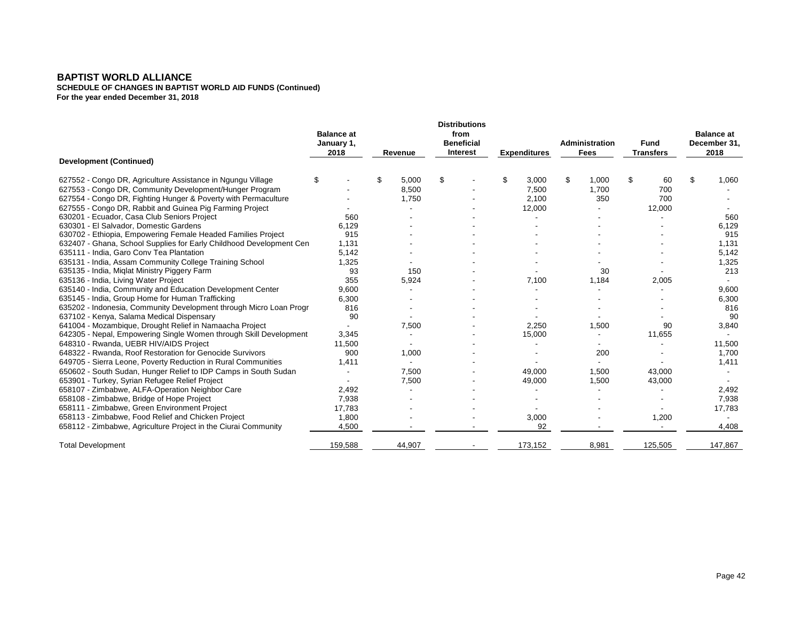**SCHEDULE OF CHANGES IN BAPTIST WORLD AID FUNDS (Continued) For the year ended December 31, 2018**

|                                                                     | <b>Balance at</b><br>January 1,<br>2018 |     | Revenue | <b>Distributions</b><br>from<br><b>Beneficial</b><br><b>Interest</b> | <b>Expenditures</b> | Administration<br><b>Fees</b> | <b>Fund</b><br><b>Transfers</b> | <b>Balance at</b><br>December 31,<br>2018 |
|---------------------------------------------------------------------|-----------------------------------------|-----|---------|----------------------------------------------------------------------|---------------------|-------------------------------|---------------------------------|-------------------------------------------|
| <b>Development (Continued)</b>                                      |                                         |     |         |                                                                      |                     |                               |                                 |                                           |
| 627552 - Congo DR, Agriculture Assistance in Ngungu Village         | \$                                      | \$  | 5,000   | \$                                                                   | \$<br>3,000         | \$<br>1,000                   | \$<br>60                        | \$<br>1,060                               |
| 627553 - Congo DR, Community Development/Hunger Program             |                                         |     | 8,500   |                                                                      | 7,500               | 1,700                         | 700                             |                                           |
| 627554 - Congo DR, Fighting Hunger & Poverty with Permaculture      |                                         |     | 1,750   |                                                                      | 2,100               | 350                           | 700                             |                                           |
| 627555 - Congo DR, Rabbit and Guinea Pig Farming Project            |                                         |     |         |                                                                      | 12,000              |                               | 12,000                          |                                           |
| 630201 - Ecuador, Casa Club Seniors Project                         |                                         | 560 |         |                                                                      |                     |                               |                                 | 560                                       |
| 630301 - El Salvador, Domestic Gardens                              | 6,129                                   |     |         |                                                                      |                     |                               |                                 | 6,129                                     |
| 630702 - Ethiopia, Empowering Female Headed Families Project        |                                         | 915 |         |                                                                      |                     |                               |                                 | 915                                       |
| 632407 - Ghana, School Supplies for Early Childhood Development Cen | 1,131                                   |     |         |                                                                      |                     |                               |                                 | 1,131                                     |
| 635111 - India, Garo Conv Tea Plantation                            | 5,142                                   |     |         |                                                                      |                     |                               |                                 | 5,142                                     |
| 635131 - India, Assam Community College Training School             | 1,325                                   |     |         |                                                                      |                     |                               |                                 | 1,325                                     |
| 635135 - India, Miglat Ministry Piggery Farm                        |                                         | 93  | 150     |                                                                      |                     | 30                            |                                 | 213                                       |
| 635136 - India, Living Water Project                                |                                         | 355 | 5,924   |                                                                      | 7,100               | 1,184                         | 2,005                           | $\sim$                                    |
| 635140 - India, Community and Education Development Center          | 9,600                                   |     |         |                                                                      |                     |                               |                                 | 9,600                                     |
| 635145 - India, Group Home for Human Trafficking                    | 6,300                                   |     |         |                                                                      |                     |                               |                                 | 6,300                                     |
| 635202 - Indonesia, Community Development through Micro Loan Progra |                                         | 816 |         |                                                                      |                     |                               |                                 | 816                                       |
| 637102 - Kenya, Salama Medical Dispensary                           |                                         | 90  |         |                                                                      |                     |                               |                                 | 90                                        |
| 641004 - Mozambique, Drought Relief in Namaacha Project             |                                         |     | 7,500   |                                                                      | 2,250               | 1,500                         | 90                              | 3,840                                     |
| 642305 - Nepal, Empowering Single Women through Skill Development   | 3,345                                   |     |         |                                                                      | 15,000              |                               | 11,655                          |                                           |
| 648310 - Rwanda, UEBR HIV/AIDS Project                              | 11,500                                  |     |         |                                                                      |                     |                               |                                 | 11,500                                    |
| 648322 - Rwanda, Roof Restoration for Genocide Survivors            |                                         | 900 | 1,000   |                                                                      |                     | 200                           |                                 | 1,700                                     |
| 649705 - Sierra Leone, Poverty Reduction in Rural Communities       | 1,411                                   |     |         |                                                                      |                     |                               |                                 | 1,411                                     |
| 650602 - South Sudan, Hunger Relief to IDP Camps in South Sudan     |                                         |     | 7,500   |                                                                      | 49,000              | 1,500                         | 43,000                          |                                           |
| 653901 - Turkey, Syrian Refugee Relief Project                      |                                         |     | 7,500   |                                                                      | 49,000              | 1,500                         | 43,000                          |                                           |
| 658107 - Zimbabwe, ALFA-Operation Neighbor Care                     | 2,492                                   |     |         |                                                                      |                     |                               |                                 | 2,492                                     |
| 658108 - Zimbabwe, Bridge of Hope Project                           | 7,938                                   |     |         |                                                                      |                     |                               |                                 | 7,938                                     |
| 658111 - Zimbabwe, Green Environment Project                        | 17,783                                  |     |         |                                                                      |                     |                               | $\overline{\phantom{a}}$        | 17,783                                    |
| 658113 - Zimbabwe, Food Relief and Chicken Project                  | 1,800                                   |     |         |                                                                      | 3,000               |                               | 1,200                           |                                           |
| 658112 - Zimbabwe, Agriculture Project in the Ciurai Community      | 4,500                                   |     |         |                                                                      | 92                  |                               |                                 | 4,408                                     |
| <b>Total Development</b>                                            | 159.588                                 |     | 44.907  |                                                                      | 173,152             | 8,981                         | 125.505                         | 147,867                                   |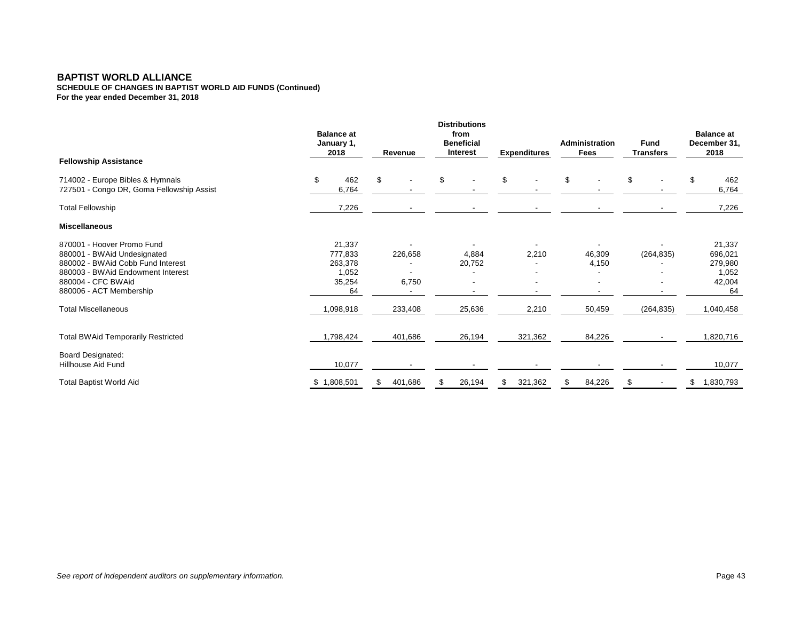**For the year ended December 31, 2018 SCHEDULE OF CHANGES IN BAPTIST WORLD AID FUNDS (Continued)**

|                                                                                                                                                                                      | <b>Balance at</b><br>January 1,<br>2018               | Revenue          | <b>Distributions</b><br>from<br><b>Beneficial</b><br>Interest | <b>Expenditures</b> | Administration<br><b>Fees</b> | <b>Fund</b><br><b>Transfers</b> | <b>Balance at</b><br>December 31,<br>2018             |
|--------------------------------------------------------------------------------------------------------------------------------------------------------------------------------------|-------------------------------------------------------|------------------|---------------------------------------------------------------|---------------------|-------------------------------|---------------------------------|-------------------------------------------------------|
| <b>Fellowship Assistance</b>                                                                                                                                                         |                                                       |                  |                                                               |                     |                               |                                 |                                                       |
| 714002 - Europe Bibles & Hymnals<br>727501 - Congo DR, Goma Fellowship Assist                                                                                                        | \$<br>462<br>6,764                                    | \$.              | \$                                                            | \$.                 | \$                            | \$                              | 462<br>\$<br>6,764                                    |
| <b>Total Fellowship</b>                                                                                                                                                              | 7,226                                                 |                  |                                                               |                     |                               |                                 | 7,226                                                 |
| <b>Miscellaneous</b>                                                                                                                                                                 |                                                       |                  |                                                               |                     |                               |                                 |                                                       |
| 870001 - Hoover Promo Fund<br>880001 - BWAid Undesignated<br>880002 - BWAid Cobb Fund Interest<br>880003 - BWAid Endowment Interest<br>880004 - CFC BWAid<br>880006 - ACT Membership | 21,337<br>777,833<br>263,378<br>1,052<br>35,254<br>64 | 226,658<br>6,750 | 4,884<br>20,752                                               | 2,210               | 46,309<br>4,150               | (264, 835)                      | 21,337<br>696,021<br>279,980<br>1,052<br>42,004<br>64 |
| <b>Total Miscellaneous</b>                                                                                                                                                           | ,098,918                                              | 233,408          | 25,636                                                        | 2,210               | 50,459                        | (264, 835)                      | 1,040,458                                             |
| <b>Total BWAid Temporarily Restricted</b><br><b>Board Designated:</b>                                                                                                                | ,798,424                                              | 401,686          | 26,194                                                        | 321,362             | 84,226                        |                                 | 1,820,716                                             |
| <b>Hillhouse Aid Fund</b>                                                                                                                                                            | 10,077                                                |                  |                                                               |                     |                               |                                 | 10,077                                                |
| <b>Total Baptist World Aid</b>                                                                                                                                                       | \$1,808,501                                           | 401,686<br>\$    | 26,194<br>\$                                                  | 321,362<br>\$       | \$<br>84,226                  | \$                              | \$<br>1,830,793                                       |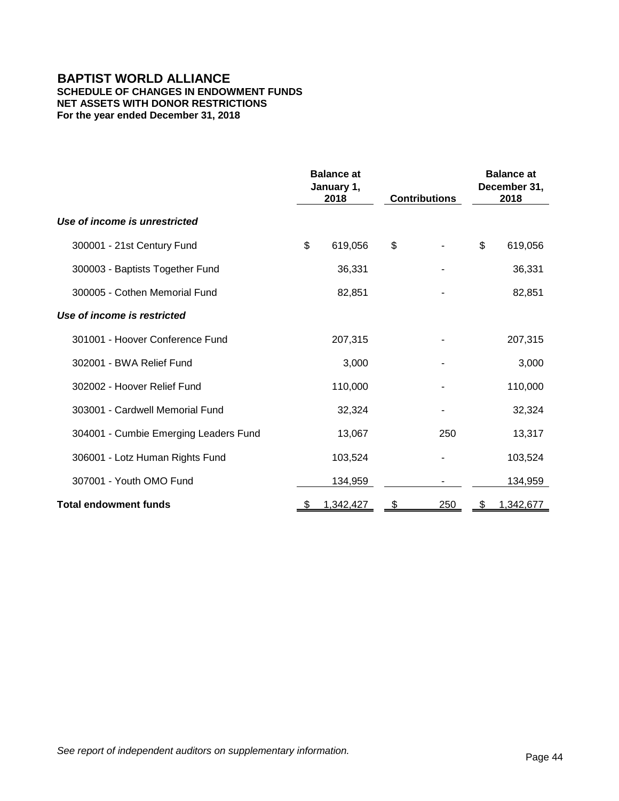## **NET ASSETS WITH DONOR RESTRICTIONS BAPTIST WORLD ALLIANCE SCHEDULE OF CHANGES IN ENDOWMENT FUNDS For the year ended December 31, 2018**

|                                       |    | <b>Balance at</b><br>January 1,<br>2018 |               | <b>Contributions</b> | <b>Balance at</b><br>December 31,<br>2018 |
|---------------------------------------|----|-----------------------------------------|---------------|----------------------|-------------------------------------------|
| Use of income is unrestricted         |    |                                         |               |                      |                                           |
| 300001 - 21st Century Fund            | \$ | 619,056                                 | \$            |                      | \$<br>619,056                             |
| 300003 - Baptists Together Fund       |    | 36,331                                  |               |                      | 36,331                                    |
| 300005 - Cothen Memorial Fund         |    | 82,851                                  |               |                      | 82,851                                    |
| Use of income is restricted           |    |                                         |               |                      |                                           |
| 301001 - Hoover Conference Fund       |    | 207,315                                 |               |                      | 207,315                                   |
| 302001 - BWA Relief Fund              |    | 3,000                                   |               |                      | 3,000                                     |
| 302002 - Hoover Relief Fund           |    | 110,000                                 |               |                      | 110,000                                   |
| 303001 - Cardwell Memorial Fund       |    | 32,324                                  |               |                      | 32,324                                    |
| 304001 - Cumbie Emerging Leaders Fund |    | 13,067                                  |               | 250                  | 13,317                                    |
| 306001 - Lotz Human Rights Fund       |    | 103,524                                 |               |                      | 103,524                                   |
| 307001 - Youth OMO Fund               |    | 134,959                                 |               |                      | 134,959                                   |
| <b>Total endowment funds</b>          | £. | 1,342,427                               | $\frac{1}{2}$ | 250                  | \$<br>1,342,677                           |